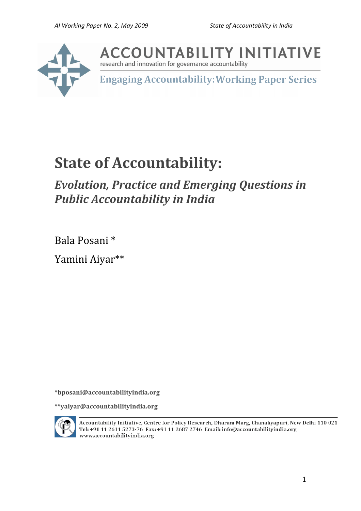

**ACCOUNTABILITY INITIATIVE** 

research and innovation for governance accountability

**Engaging Accountability: Working Paper Series** 

# **State
of
Accountability:**

## *Evolution,
Practice
and
Emerging
Questions
in Public
Accountability
in
India*

Bala
Posani
\* Yamini
Aiyar\*\*

**\*bposani@accountabilityindia.org** 

**\*\*yaiyar@accountabilityindia.org**



Accountability Initiative, Centre for Policy Research, Dharam Marg, Chanakyapuri, New Delhi 110 021 Tel: +91 11 2611 5273-76 Fax: +91 11 2687 2746 Email: info@accountabilityindia.org www.accountabilityindia.org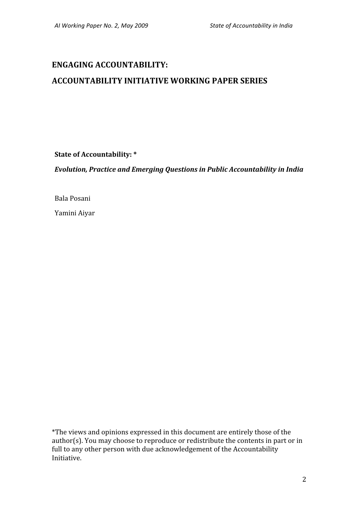## **ENGAGING
ACCOUNTABILITY:**

## **ACCOUNTABILITY
INITIATIVE
WORKING
PAPER
SERIES**

**State
of
Accountability:
\***

*Evolution,
Practice
and
Emerging
Questions
in
Public
Accountability
in
India*

Bala
Posani

Yamini
Aiyar

\*The
views
and
opinions
expressed
in
this
document
are
entirely
those
of
the author(s). You may choose to reproduce or redistribute the contents in part or in full to any other person with due acknowledgement of the Accountability Initiative.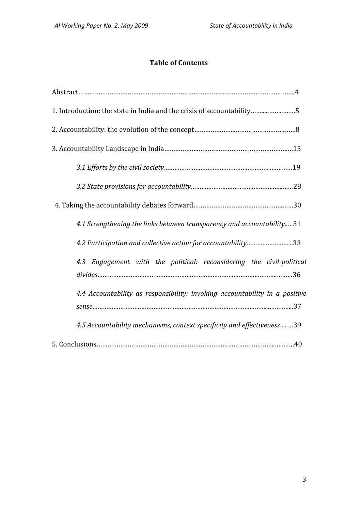## **Table
of
Contents**

| 1. Introduction: the state in India and the crisis of accountability5       |
|-----------------------------------------------------------------------------|
|                                                                             |
|                                                                             |
|                                                                             |
|                                                                             |
|                                                                             |
| 4.1 Strengthening the links between transparency and accountability31       |
| 4.2 Participation and collective action for accountability33                |
| 4.3 Engagement with the political: reconsidering the civil-political        |
| 4.4 Accountability as responsibility: invoking accountability in a positive |
| 4.5 Accountability mechanisms, context specificity and effectiveness39      |
|                                                                             |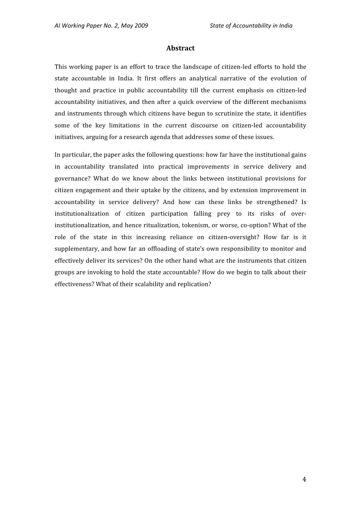#### **Abstract**

This working paper is an effort to trace the landscape of citizen-led efforts to hold the state accountable in India. It first offers an analytical narrative of the evolution of thought
 and
 practice
 in
 public
 accountability
 till
 the
 current
 emphasis
 on
 citizen‐led accountability initiatives, and then after a quick overview of the different mechanisms and
instruments
through
which
citizens
have
begun
to
scrutinize
the
state,
it
identifies some of the key limitations in the current discourse on citizen-led accountability initiatives, arguing for a research agenda that addresses some of these issues.

In particular, the paper asks the following questions: how far have the institutional gains in
 accountability
 translated
 into
 practical
 improvements
 in
 service
 delivery
 and governance?
 What
 do
 we
 know
 about
 the
 links
 between
 institutional
 provisions
 for citizen
engagement
and
 their
uptake
by
 the
citizens,
and
by
extension
improvement
in accountability in service delivery? And how can these links be strengthened? Is institutionalization of citizen participation falling prey to its risks of overinstitutionalization,
and
hence
ritualization,
tokenism,
or
worse,
co‐option?
What
of
the role of the state in this increasing reliance on citizen-oversight? How far is it supplementary, and how far an offloading of state's own responsibility to monitor and effectively deliver its services? On the other hand what are the instruments that citizen groups
are
invoking
to
hold
the
state
accountable?
How
do
we
begin
to
talk
about
their effectiveness?
What
of
their
scalability
and
replication?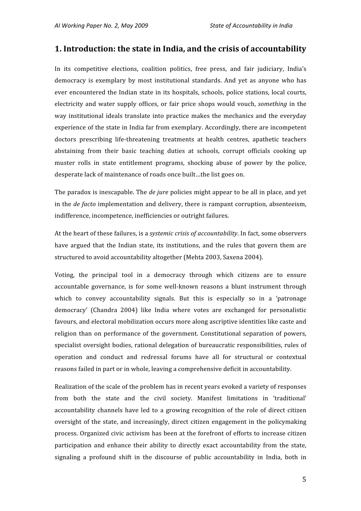## **1.
Introduction:
the
state
in
India,
and
the
crisis
of
accountability**

In its competitive elections, coalition politics, free press, and fair judiciary, India's democracy is exemplary by most institutional standards. And yet as anyone who has ever encountered the Indian state in its hospitals, schools, police stations, local courts, electricity and water supply offices, or fair price shops would vouch, *something* in the way institutional ideals translate into practice makes the mechanics and the everyday experience
of
the
state
in
India
far
from
exemplary.
Accordingly,
there
are
incompetent doctors prescribing life-threatening treatments at health centres, apathetic teachers abstaining from their basic teaching duties at schools, corrupt officials cooking up muster rolls in state entitlement programs, shocking abuse of power by the police, desperate
lack
of
maintenance
of
roads
once
built…the
list
goes
on.

The paradox is inescapable. The *de jure* policies might appear to be all in place, and yet in the *de facto* implementation and delivery, there is rampant corruption, absenteeism, indifference,
incompetence,
inefficiencies
or
outright
failures.

At the heart of these failures, is a *systemic crisis of accountability*. In fact, some observers have argued that the Indian state, its institutions, and the rules that govern them are structured
to
avoid
accountability
altogether
(Mehta
2003,
Saxena
2004).

Voting, the principal tool in a democracy through which citizens are to ensure accountable governance, is for some well-known reasons a blunt instrument through which to convey accountability signals. But this is especially so in a 'patronage democracy'
 (Chandra
 2004)
 like
 India
 where
 votes
 are
 exchanged
 for
 personalistic favours,
and
electoral
mobilization
occurs
more
along
ascriptive
identities
like
caste
and religion than on performance of the government. Constitutional separation of powers, specialist oversight bodies, rational delegation of bureaucratic responsibilities, rules of operation and conduct and redressal forums have all for structural or contextual reasons
failed
in
part
or
in
whole,
leaving
a
comprehensive
deficit
in
accountability.

Realization of the scale of the problem has in recent years evoked a variety of responses from both the state and the civil society. Manifest limitations in 'traditional' accountability channels have led to a growing recognition of the role of direct citizen oversight
 of
 the
 state,
and
increasingly,
 direct
 citizen
engagement
in
 the
 policymaking process.
Organized
civic
activism
has
been
at
the
forefront
of
efforts
to
increase
citizen participation and enhance their ability to directly exact accountability from the state, signaling a profound shift in the discourse of public accountability in India, both in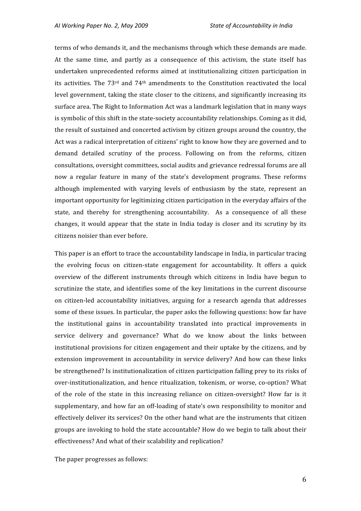terms
of
who
demands
it,
and
the
mechanisms
through
which
these
demands
are
made. At the same time, and partly as a consequence of this activism, the state itself has undertaken unprecedented reforms aimed at institutionalizing citizen participation in its activities. The  $73<sup>rd</sup>$  and  $74<sup>th</sup>$  amendments to the Constitution reactivated the local level government, taking the state closer to the citizens, and significantly increasing its surface
area.
The
Right
to
Information
Act
was
a
landmark
legislation
that
in
many
ways is symbolic of this shift in the state-society accountability relationships. Coming as it did, the
result
of
sustained
and
concerted
activism
by
citizen
groups
around
the
country,
the Act was a radical interpretation of citizens' right to know how they are governed and to demand detailed scrutiny of the process. Following on from the reforms, citizen consultations,
oversight
committees,
social
audits
and
grievance
redressal
forums
are
all now a regular feature in many of the state's development programs. These reforms although implemented with varying levels of enthusiasm by the state, represent an important
opportunity
for
legitimizing
citizen
participation
in
the
everyday
affairs
of
the state, and thereby for strengthening accountability. As a consequence of all these changes, it would appear that the state in India today is closer and its scrutiny by its citizens
noisier
than
ever
before.

This paper is an effort to trace the accountability landscape in India, in particular tracing the evolving focus on citizen-state engagement for accountability. It offers a quick overview of the different instruments through which citizens in India have begun to scrutinize the state, and identifies some of the key limitations in the current discourse on
 citizen‐led
 accountability
 initiatives,
 arguing
 for
 a
 research
 agenda
 that
 addresses some of these issues. In particular, the paper asks the following questions: how far have the
 institutional
 gains
 in
 accountability
 translated
 into
 practical
 improvements
 in service delivery and governance? What do we know about the links between institutional
provisions
 for
citizen
engagement
and
their
uptake
by
the
citizens,
and
by extension improvement in accountability in service delivery? And how can these links be strengthened? Is institutionalization of citizen participation falling prey to its risks of over-institutionalization, and hence ritualization, tokenism, or worse, co-option? What of the role of the state in this increasing reliance on citizen-oversight? How far is it supplementary, and how far an off-loading of state's own responsibility to monitor and effectively deliver its services? On the other hand what are the instruments that citizen groups
are
invoking
to
hold
the
state
accountable?
How
do
we
begin
to
talk
about
their effectiveness?
And
what
of
their
scalability
and
replication?

The
paper
progresses
as
follows: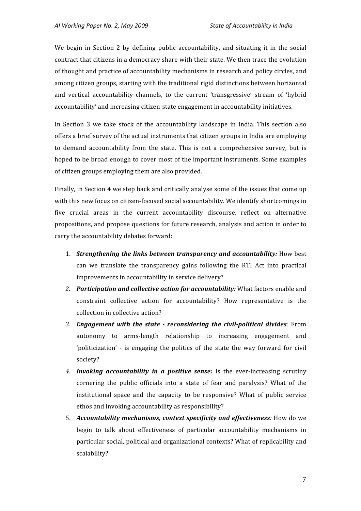We begin in Section 2 by defining public accountability, and situating it in the social contract
that
citizens
in
a
democracy
share
with
their
state.
We
then
trace
the
evolution of thought and practice of accountability mechanisms in research and policy circles, and among
citizen
groups,
starting
with
the
traditional
rigid
distinctions
between
horizontal and
 vertical
 accountability
 channels,
 to
 the
 current
 'transgressive'
 stream
 of
 'hybrid accountability'
and
increasing
citizen‐state
engagement
in
accountability
initiatives.

In Section 3 we take stock of the accountability landscape in India. This section also offers a brief survey of the actual instruments that citizen groups in India are employing to demand accountability from the state. This is not a comprehensive survey, but is hoped to be broad enough to cover most of the important instruments. Some examples of
citizen
groups
employing
them
are
also
provided.

Finally, in Section 4 we step back and critically analyse some of the issues that come up with this new focus on citizen-focused social accountability. We identify shortcomings in five crucial areas in the current accountability discourse, reflect on alternative propositions, and propose questions for future research, analysis and action in order to carry
the
accountability
debates
forward:

- 1. **Strengthening the links between transparency and accountability:** How best can
 we
 translate
 the
 transparency
 gains
 following
 the
 RTI
 Act
 into
 practical improvements
in
accountability
in
service
delivery?
- 2. Participation and collective action for accountability: What factors enable and constraint collective action for accountability? How representative is the collection
in
collective
action?
- 3. **Engagement with the state reconsidering the civil-political divides: From** autonomy
 to
 arms‐length
 relationship
 to
 increasing
 engagement
 and 'politicization' - is engaging the politics of the state the way forward for civil society?
- 4. Invoking accountability in a positive sense: Is the ever-increasing scrutiny cornering the public officials into a state of fear and paralysis? What of the institutional space and the capacity to be responsive? What of public service ethos
and
invoking
accountability
as
responsibility?
- 5. Accountability mechanisms, context specificity and effectiveness: How do we begin to talk about effectiveness of particular accountability mechanisms in particular
social,
political
and
organizational
contexts?
What
of
replicability
and scalability?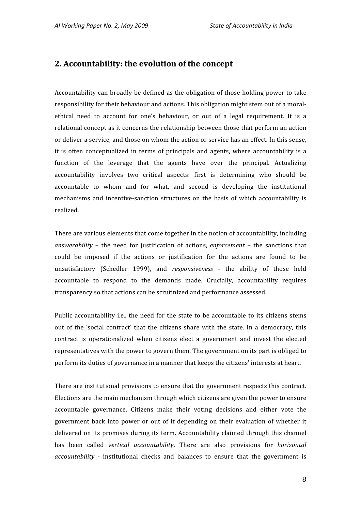## **2.
Accountability:
the
evolution
of
the
concept**

Accountability
can
broadly
be
defined
as
 the
obligation
of
 those
holding
power
 to
 take responsibility for their behaviour and actions. This obligation might stem out of a moralethical need to account for one's behaviour, or out of a legal requirement. It is a relational
concept
as
it
concerns
the
relationship
between
those
that
perform
an
action or
deliver
a
service,
and
those
on
whom
the
action
or
service
has
an
effect.
In
this
sense, it is often conceptualized in terms of principals and agents, where accountability is a function of the leverage that the agents have over the principal. Actualizing accountability
 involves
 two
 critical
 aspects:
 first
 is
 determining
 who
 should
 be accountable
 to
 whom
 and
 for
 what,
 and
 second
 is
 developing
 the
 institutional mechanisms and incentive-sanction structures on the basis of which accountability is realized.

There
are
various
elements
that
come
together
in
the
notion
of
accountability,
including answerability - the need for justification of actions, enforcement - the sanctions that could be imposed if the actions or justification for the actions are found to be unsatisfactory (Schedler 1999), and *responsiveness* - the ability of those held accountable to respond to the demands made. Crucially, accountability requires transparency
so
that
actions
can
be
scrutinized
and
performance
assessed.

Public accountability i.e., the need for the state to be accountable to its citizens stems out of the 'social contract' that the citizens share with the state. In a democracy, this contract
 is
 operationalized
 when
 citizens
 elect
 a
 government
 and
 invest
 the
 elected representatives
with
the
power
to
govern
them.
The
government
on
its
part
is
obliged
to perform
its
duties
of
governance
in
a
manner
that
keeps
the
citizens'
interests
at
heart.

There are institutional provisions to ensure that the government respects this contract. Elections
are
the
main
mechanism
through
which
citizens
are
given
the
power
to
ensure accountable governance. Citizens make their voting decisions and either vote the government back into power or out of it depending on their evaluation of whether it delivered on its promises during its term. Accountability claimed through this channel has been called *vertical accountability*. There are also provisions for *horizontal accountability* - institutional checks and balances to ensure that the government is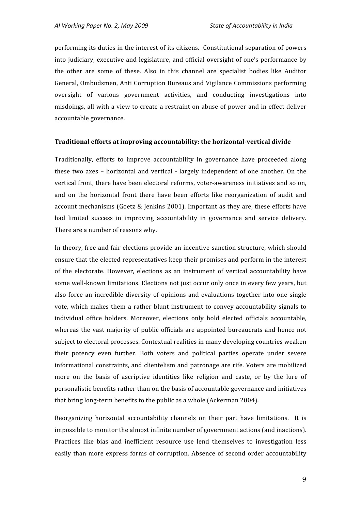performing
its
duties
in
the
interest
of
its
citizens.

Constitutional
separation
of
powers into
judiciary,
executive
and
legislature,
and
official
oversight
of
one's
performance
by the other are some of these. Also in this channel are specialist bodies like Auditor General,
Ombudsmen,
Anti
Corruption
Bureaus
and
Vigilance
Commissions
performing oversight
 of
 various
 government
 activities,
 and
 conducting
 investigations
 into misdoings,
all
with
a
view
 to
create
a
restraint
on
abuse
of
power
and
in
effect
deliver accountable
governance.

#### **Traditional efforts at improving accountability: the horizontal-vertical divide**

Traditionally,
 efforts
 to
 improve
 accountability
 in
 governance
 have
 proceeded
 along these two axes – horizontal and vertical - largely independent of one another. On the vertical front, there have been electoral reforms, voter-awareness initiatives and so on, and on the horizontal front there have been efforts like reorganization of audit and account mechanisms (Goetz & Jenkins 2001). Important as they are, these efforts have had limited success in improving accountability in governance and service delivery. There
are
a
number
of
reasons
why.

In theory, free and fair elections provide an incentive-sanction structure, which should ensure
that
the
elected
representatives
keep
their
promises
and
perform
in
the
interest of the electorate. However, elections as an instrument of vertical accountability have some well-known limitations. Elections not just occur only once in every few years, but also
 force
 an
incredible
 diversity
 of
 opinions
 and
 evaluations
 together
into
 one
 single vote, which makes them a rather blunt instrument to convey accountability signals to individual office holders. Moreover, elections only hold elected officials accountable, whereas the vast majority of public officials are appointed bureaucrats and hence not subject to electoral processes. Contextual realities in many developing countries weaken their
 potency
 even
 further.
 Both
 voters
 and
 political
 parties
 operate
 under
 severe informational constraints, and clientelism and patronage are rife. Voters are mobilized more on the basis of ascriptive identities like religion and caste, or by the lure of personalistic
benefits
rather
than
on
the
basis
of
accountable
governance
and
initiatives that
bring
long‐term
benefits
to
the
public
as
a
whole
(Ackerman
2004).

Reorganizing horizontal accountability channels on their part have limitations. It is impossible
to
monitor
the
almost
infinite
number
of
government
actions
(and
inactions). Practices like bias and inefficient resource use lend themselves to investigation less easily than more express forms of corruption. Absence of second order accountability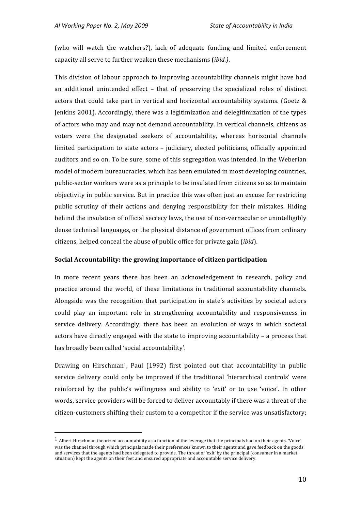(who will watch the watchers?), lack of adequate funding and limited enforcement capacity
all
serve
to
further
weaken
these
mechanisms
(*ibid.)*.

This division of labour approach to improving accountability channels might have had an
 additional
 unintended
 effect –
 that
 of
 preserving
 the
 specialized
 roles
 of
 distinct actors that could take part in vertical and horizontal accountability systems. (Goetz & Jenkins
2001).
Accordingly,
there
was
a
legitimization
and
delegitimization
of
the
types of
actors
who
may
and
may
not
demand
accountability.
In
vertical
channels,
citizens
as voters were the designated seekers of accountability, whereas horizontal channels limited participation to state actors – judiciary, elected politicians, officially appointed auditors
and
so
on.
To
be
sure,
some
of
this
segregation
was
intended.
In
the
Weberian model
of
modern
bureaucracies,
which
has
been
emulated
in
most
developing
countries, public-sector workers were as a principle to be insulated from citizens so as to maintain objectivity
in
public
service.
But
in
practice
this
was
often
just
an
excuse
for
restricting public scrutiny of their actions and denying responsibility for their mistakes. Hiding behind the insulation of official secrecy laws, the use of non-vernacular or unintelligibly dense
technical
languages,
or
the
physical
distance
of
government
offices
from
ordinary citizens,
helped
conceal
the
abuse
of
public
office
for
private
gain
(*ibid*).

#### **Social
Accountability:
the
growing
importance
of
citizen
participation**

In more recent vears there has been an acknowledgement in research, policy and practice
 around
 the
 world,
 of
 these
 limitations
 in
 traditional
 accountability
 channels. Alongside was the recognition that participation in state's activities by societal actors could
 play
 an
 important
 role
 in
 strengthening
 accountability
 and
 responsiveness
 in service delivery. Accordingly, there has been an evolution of ways in which societal actors
have
directly
engaged
with
the
state
to
improving
accountability
–
a
process
that has
broadly
been
called
'social
accountability'.

Drawing on Hirschman<sup>1</sup>, Paul (1992) first pointed out that accountability in public service delivery could only be improved if the traditional 'hierarchical controls' were reinforced by the public's willingness and ability to 'exit' or to use 'voice'. In other words, service providers will be forced to deliver accountably if there was a threat of the citizen-customers shifting their custom to a competitor if the service was unsatisfactory;

<sup>&</sup>lt;sup>1</sup> Albert Hirschman theorized accountability as a function of the leverage that the principals had on their agents. 'Voice' was the channel through which principals made their preferences known to their agents and gave feedback on the goods and services that the agents had been delegated to provide. The threat of 'exit' by the principal (consumer in a market situation) kept the agents on their feet and ensured appropriate and accountable service delivery.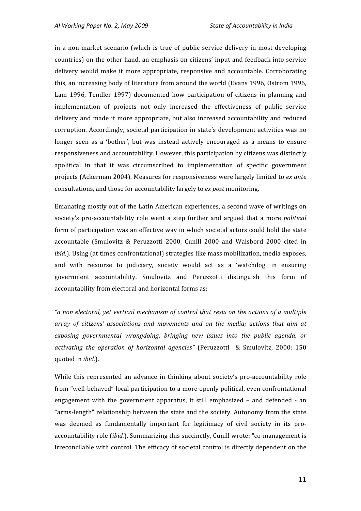in a non-market scenario (which is true of public service delivery in most developing countries)
on
 the
other
hand,
an
emphasis
on
citizens'
input
and
 feedback
into
service delivery would make it more appropriate, responsive and accountable. Corroborating this,
an
increasing
body
of
literature
from
around
the
world
(Evans
1996,
Ostrom
1996, Lam 1996, Tendler 1997) documented how participation of citizens in planning and implementation of projects not only increased the effectiveness of public service delivery and made it more appropriate, but also increased accountability and reduced corruption.
Accordingly,
 societal
 participation
in
 state's
 development
activities
was
 no longer seen as a 'bother', but was instead actively encouraged as a means to ensure responsiveness
and
accountability.
However,
this
participation
by
citizens
was
distinctly apolitical in that it was circumscribed to implementation of specific government projects
(Ackerman
2004).
Measures
for
responsiveness
were
largely
limited
to *ex
ante* consultations,
and
those
for
accountability
largely
to *ex
post*monitoring.

Emanating
mostly
out
of
the
Latin
American
experiences,
a
second
wave
of
writings
on society's pro-accountability role went a step further and argued that a more *political* form of participation was an effective way in which societal actors could hold the state accountable (Smulovitz & Peruzzotti 2000, Cunill 2000 and Waisbord 2000 cited in *ibid.*). Using (at times confrontational) strategies like mass mobilization, media exposes, and
 with
 recourse
 to
 judiciary,
 society
 would
 act
 as
 a
 'watchdog'
 in
 ensuring government
 accountability.
 Smulovitz
 and
 Peruzzotti
 distinguish
 this
 form
 of accountability
from
electoral
and
horizontal
forms
as:

"a non electoral, yet vertical mechanism of control that rests on the actions of a multiple array of citizens' associations and movements and on the media; actions that aim at exposing governmental wrongdoing, bringing new issues into the public gaenda, or activating the operation of horizontal agencies" (Peruzzotti & Smulovitz, 2000: 150 quoted
in *ibid.*).

While this represented an advance in thinking about society's pro-accountability role from "well-behaved" local participation to a more openly political, even confrontational engagement with the government apparatus, it still emphasized - and defended - an "arms‐length"
relationship
between
the
state
and
the
society.
Autonomy
 from
the
state was deemed as fundamentally important for legitimacy of civil society in its proaccountability role *(ibid.)*, Summarizing this succinctly, Cunill wrote: "co-management is irreconcilable with control. The efficacy of societal control is directly dependent on the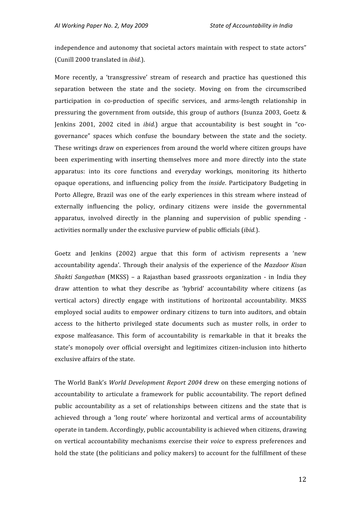independence and autonomy that societal actors maintain with respect to state actors" (Cunill
2000
translated
in *ibid.*).

More recently, a 'transgressive' stream of research and practice has questioned this separation between the state and the society. Moving on from the circumscribed participation in co-production of specific services, and arms-length relationship in pressuring the government from outside, this group of authors (Isunza 2003, Goetz & Jenkins 2001, 2002 cited in *ibid.*) argue that accountability is best sought in "cogovernance" spaces which confuse the boundary between the state and the society. These
writings
draw
on
experiences
 from
around
the
world
where
citizen
groups
have been experimenting with inserting themselves more and more directly into the state apparatus: into its core functions and everyday workings, monitoring its hitherto opaque
 operations,
 and
 influencing
 policy
 from
 the *inside*.
 Participatory
 Budgeting
 in Porto Allegre, Brazil was one of the early experiences in this stream where instead of externally influencing the policy, ordinary citizens were inside the governmental apparatus, involved directly in the planning and supervision of public spending activities
normally
under
the exclusive
purview
of
public
officials
(*ibid.*).

Goetz and Jenkins (2002) argue that this form of activism represents a 'new accountability
 agenda'.
Through
 their
 analysis
 of
 the
 experience
 of
 the *Mazdoor
 Kisan*  Shakti Sangathan (MKSS) – a Rajasthan based grassroots organization - in India they draw attention to what they describe as 'hybrid' accountability where citizens (as vertical actors) directly engage with institutions of horizontal accountability. MKSS employed social audits to empower ordinary citizens to turn into auditors, and obtain access to the hitherto privileged state documents such as muster rolls, in order to expose malfeasance. This form of accountability is remarkable in that it breaks the state's monopoly over official oversight and legitimizes citizen-inclusion into hitherto exclusive
affairs
of
the
state.

The World Bank's *World Development Report* 2004 drew on these emerging notions of accountability
 to
 articulate
 a
 framework
 for
 public
 accountability.
 The
 report
 defined public accountability as a set of relationships between citizens and the state that is achieved through a 'long route' where horizontal and vertical arms of accountability operate
in
tandem.
Accordingly,
public
accountability
is
achieved
when
citizens,
drawing on vertical accountability mechanisms exercise their voice to express preferences and hold the state (the politicians and policy makers) to account for the fulfillment of these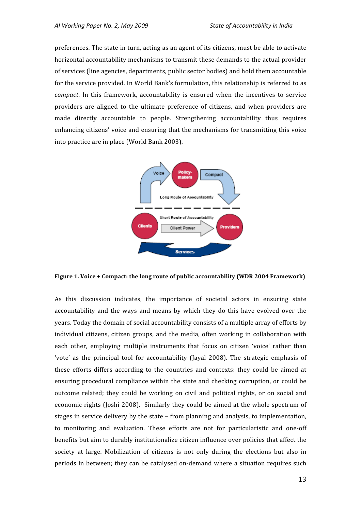preferences. The state in turn, acting as an agent of its citizens, must be able to activate horizontal
accountability
mechanisms
to
transmit
these
demands
to
the
actual
provider of
services
(line
agencies,
departments,
public
sector
bodies)
and
hold
them
accountable for the service provided. In World Bank's formulation, this relationship is referred to as compact. In this framework, accountability is ensured when the incentives to service providers are aligned to the ultimate preference of citizens, and when providers are made directly accountable to people. Strengthening accountability thus requires enhancing citizens' voice and ensuring that the mechanisms for transmitting this voice into
practice
are
in
place
(World
Bank
2003).



Figure 1. Voice + Compact: the long route of public accountability (WDR 2004 Framework)

As this discussion indicates, the importance of societal actors in ensuring state accountability and the ways and means by which they do this have evolved over the years.
Today
the
domain
of
social
accountability
consists
of
a
multiple
array
of
efforts
by individual citizens, citizen groups, and the media, often working in collaboration with each other, employing multiple instruments that focus on citizen 'voice' rather than 'vote' as the principal tool for accountability (Jayal 2008). The strategic emphasis of these efforts differs according to the countries and contexts: they could be aimed at ensuring procedural compliance within the state and checking corruption, or could be outcome related; they could be working on civil and political rights, or on social and economic rights (Joshi 2008). Similarly they could be aimed at the whole spectrum of stages in service delivery by the state - from planning and analysis, to implementation, to monitoring and evaluation. These efforts are not for particularistic and one-off benefits but aim to durably institutionalize citizen influence over policies that affect the society at large. Mobilization of citizens is not only during the elections but also in periods
in
between;
 they
can
be
catalysed
on‐demand
where
a
situation
 requires
such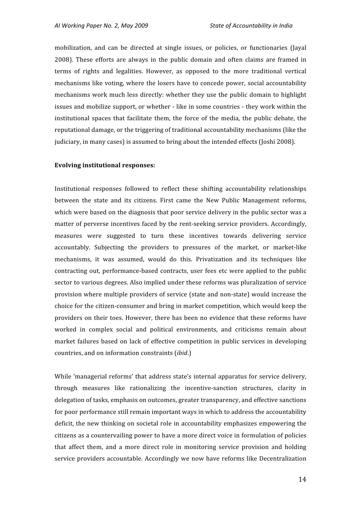mobilization, and can be directed at single issues, or policies, or functionaries (Jayal 2008).
 These
 efforts
 are
 always
 in
 the
 public
 domain
 and
 often
 claims
 are
 framed
 in terms of rights and legalities. However, as opposed to the more traditional vertical mechanisms
like
voting,
where
 the
losers
have
 to
concede
power,
social
accountability mechanisms
work
much
less
directly:
whether
 they
use
 the
public
domain
 to
highlight issues and mobilize support, or whether - like in some countries - they work within the institutional spaces that facilitate them, the force of the media, the public debate, the reputational damage, or the triggering of traditional accountability mechanisms (like the judiciary,
in
many
cases)
is
assumed
to
bring
about
the
intended
effects
(Joshi
2008).

#### **Evolving
institutional
responses:**

Institutional responses followed to reflect these shifting accountability relationships between the state and its citizens. First came the New Public Management reforms, which were based on the diagnosis that poor service delivery in the public sector was a matter of perverse incentives faced by the rent-seeking service providers. Accordingly, measures
 were
 suggested
 to
 turn
 these
 incentives
 towards
 delivering
 service accountably. Subjecting the providers to pressures of the market, or market-like mechanisms,
 it
 was
 assumed,
 would
 do
 this.
 Privatization
 and
 its
 techniques
 like contracting
 out,
performance‐based
 contracts,
 user
fees
etc
were
applied
 to
 the
public sector to various degrees. Also implied under these reforms was pluralization of service provision
where
multiple
providers
of
service
(state
and
non‐state)
would
increase
the choice
for
the
citizen‐consumer
and
bring
in
market
competition,
which
would
keep
the providers on their toes. However, there has been no evidence that these reforms have worked in complex social and political environments, and criticisms remain about market failures based on lack of effective competition in public services in developing countries,
and
on
information
constraints
(*ibid*.)

While 'managerial reforms' that address state's internal apparatus for service delivery, through measures like rationalizing the incentive-sanction structures, clarity in delegation of tasks, emphasis on outcomes, greater transparency, and effective sanctions for
poor
performance
still
remain
important
ways
in
which
to
address
the
accountability deficit, the new thinking on societal role in accountability emphasizes empowering the citizens
as
a
countervailing
power
to
have
a
more
direct
voice
in
formulation
of
policies that affect them, and a more direct role in monitoring service provision and holding service
providers
accountable.
Accordingly
we
now
have
reforms
like
Decentralization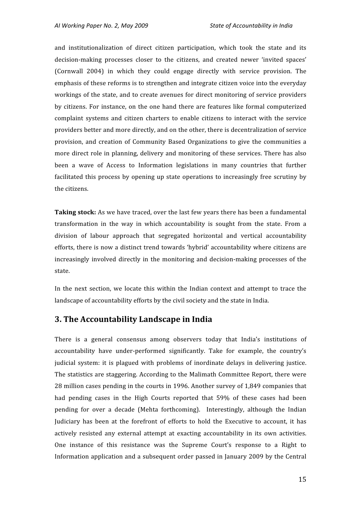and institutionalization of direct citizen participation, which took the state and its decision-making processes closer to the citizens, and created newer 'invited spaces' (Cornwall
 2004)
 in
 which
 they
 could
 engage
 directly
 with
 service
 provision.
 The emphasis of these reforms is to strengthen and integrate citizen voice into the everyday workings of the state, and to create avenues for direct monitoring of service providers by
 citizens.
 For
instance,
 on
 the
 one
 hand
 there
are
 features
like
 formal
 computerized complaint systems and citizen charters to enable citizens to interact with the service providers
better
and
more
directly,
and
on
the
other,
there
is
decentralization
of
service provision, and creation of Community Based Organizations to give the communities a more
direct
role
in
planning,
delivery
and
monitoring
of
 these
services.
There
has
also been a wave of Access to Information legislations in many countries that further facilitated this process by opening up state operations to increasingly free scrutiny by the
citizens.

**Taking stock:** As we have traced, over the last few years there has been a fundamental transformation in the way in which accountability is sought from the state. From a division of labour approach that segregated horizontal and vertical accountability efforts,
there
is
now
a
distinct
trend
towards
'hybrid'
accountability
where
citizens
are increasingly involved directly in the monitoring and decision-making processes of the state.

In the next section, we locate this within the Indian context and attempt to trace the landscape of accountability efforts by the civil society and the state in India.

## **3.
The
Accountability
Landscape
in
India**

There is a general consensus among observers today that India's institutions of accountability
 have
 under‐performed
 significantly.
 Take
 for
 example,
 the
 country's judicial system: it is plagued with problems of inordinate delays in delivering justice. The statistics are staggering. According to the Malimath Committee Report, there were 28
million
cases
pending
in
the
courts
in
1996.
Another
survey
of
1,849
companies
that had pending cases in the High Courts reported that 59% of these cases had been pending for over a decade (Mehta forthcoming). Interestingly, although the Indian Judiciary has been at the forefront of efforts to hold the Executive to account, it has actively resisted any external attempt at exacting accountability in its own activities. One instance of this resistance was the Supreme Court's response to a Right to Information application and a subsequent order passed in January 2009 by the Central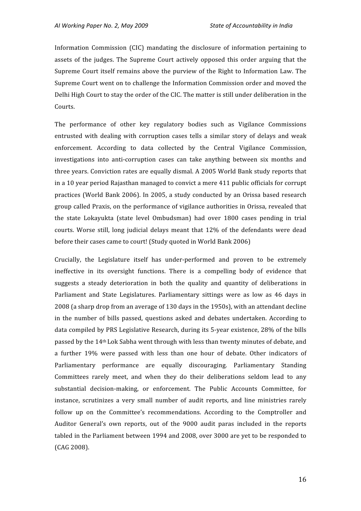Information Commission (CIC) mandating the disclosure of information pertaining to assets of the judges. The Supreme Court actively opposed this order arguing that the Supreme Court itself remains above the purview of the Right to Information Law. The Supreme Court went on to challenge the Information Commission order and moved the Delhi High Court to stay the order of the CIC. The matter is still under deliberation in the Courts.

The
 performance
 of
 other
 key
 regulatory
 bodies
 such
 as
 Vigilance
 Commissions entrusted with dealing with corruption cases tells a similar story of delays and weak enforcement.
 According
 to
 data
 collected
 by
 the
 Central
 Vigilance
 Commission, investigations into anti-corruption cases can take anything between six months and three years. Conviction rates are equally dismal. A 2005 World Bank study reports that in
a
10
year
period
Rajasthan
managed
to
convict
a
mere
411
public
officials
for
corrupt practices
 (World
Bank
2006).
 In
2005,
a
study
conducted
by
an
Orissa
based
 research group
called
Praxis,
on
the
performance
of
vigilance
authorities
in
Orissa,
revealed
that the state Lokayukta (state level Ombudsman) had over 1800 cases pending in trial courts. Worse still, long judicial delays meant that 12% of the defendants were dead before
their
cases
came
to
court!
(Study
quoted
in
World
Bank
2006)

Crucially, the Legislature itself has under-performed and proven to be extremely ineffective in its oversight functions. There is a compelling body of evidence that suggests a steady deterioration in both the quality and quantity of deliberations in Parliament and State Legislatures. Parliamentary sittings were as low as 46 days in 2008
(a
sharp
drop
from
an
average
of
130
days
in
the
1950s),
with
an
attendant
decline in the number of bills passed, questions asked and debates undertaken. According to data compiled by PRS Legislative Research, during its 5-year existence, 28% of the bills passed by the 14<sup>th</sup> Lok Sabha went through with less than twenty minutes of debate, and a further 19% were passed with less than one hour of debate. Other indicators of Parliamentary performance are equally discouraging. Parliamentary Standing Committees rarely meet, and when they do their deliberations seldom lead to any substantial decision-making, or enforcement. The Public Accounts Committee, for instance, scrutinizes a very small number of audit reports, and line ministries rarely follow up on the Committee's recommendations. According to the Comptroller and Auditor General's own reports, out of the 9000 audit paras included in the reports tabled in the Parliament between 1994 and 2008, over 3000 are vet to be responded to (CAG
2008).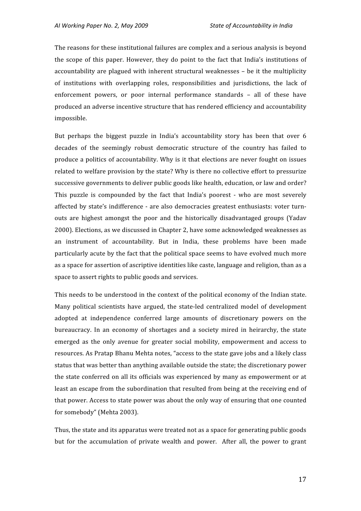The
reasons
for
these
institutional
failures
are
complex
and
a
serious
analysis
is
beyond the scope of this paper. However, they do point to the fact that India's institutions of accountability
are
plagued
with
inherent
structural
weaknesses
–
be
it
 the
multiplicity of
 institutions
 with
 overlapping roles,
 responsibilities
 and
 jurisdictions,
 the
 lack
 of enforcement powers, or poor internal performance standards - all of these have produced
an
adverse
incentive
structure
that
has
rendered
efficiency
and
accountability impossible.

But perhaps the biggest puzzle in India's accountability story has been that over 6 decades of the seemingly robust democratic structure of the country has failed to produce a politics of accountability. Why is it that elections are never fought on issues related to welfare provision by the state? Why is there no collective effort to pressurize successive
governments
to
deliver
public
goods
like
health,
education,
or
law
and
order? This puzzle is compounded by the fact that India's poorest - who are most severely affected
by
state's
indifference
‐
are
also
democracies
greatest
enthusiasts:
 voter
 turn‐ outs are highest amongst the poor and the historically disadvantaged groups (Yadav 2000).
Elections,
as
we
discussed
in
Chapter
2,
have
some
acknowledged
weaknesses
as an instrument of accountability. But in India, these problems have been made particularly
acute
by
the
fact
that
the
political
space
seems
to
have
evolved
much
more as a space for assertion of ascriptive identities like caste, language and religion, than as a space
to
assert
rights
to
public
goods
and
services.

This needs to be understood in the context of the political economy of the Indian state. Many political scientists have argued, the state-led centralized model of development adopted
 at
 independence
 conferred
 large
 amounts
 of
 discretionary
 powers
 on
 the bureaucracy.
 In
 an
 economy
 of
 shortages
 and
 a
 society
 mired
 in
 heirarchy,
 the
 state emerged as the only avenue for greater social mobility, empowerment and access to resources. As Pratap Bhanu Mehta notes, "access to the state gave jobs and a likely class status
that
was
better
than
anything
available
outside
the
state;
the
discretionary
power the state conferred on all its officials was experienced by many as empowerment or at least an escape from the subordination that resulted from being at the receiving end of that
power.
Access
to
state
power
was
about
the
only
way
of
ensuring
that
one
counted for
somebody"
(Mehta
2003).

Thus,
the
state
and
its
apparatus
were
treated
not
as
a
space
for
generating
public
goods but for the accumulation of private wealth and power. After all, the power to grant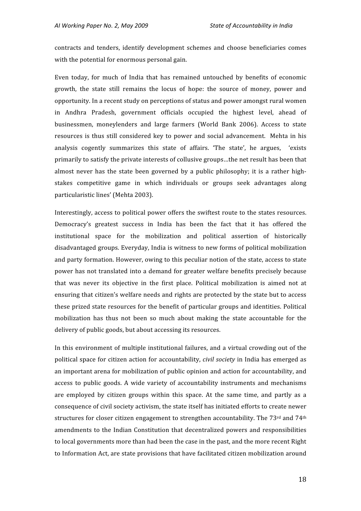contracts
 and
 tenders,
 identify
 development
 schemes
 and
 choose
 beneficiaries
 comes with the potential for enormous personal gain.

Even today, for much of India that has remained untouched by benefits of economic growth, the state still remains the locus of hope: the source of money, power and opportunity.
In
a
recent
study
on
perceptions
of
status
and
power
amongst
rural
women in
 Andhra
 Pradesh,
 government
 officials
 occupied
 the
 highest
 level,
 ahead
 of businessmen,
 moneylenders
 and
 large
 farmers
 (World
 Bank
 2006).
 Access
 to
 state resources is thus still considered key to power and social advancement. Mehta in his analysis cogently summarizes this state of affairs. 'The state', he argues, 'exists primarily
to
satisfy
the
private
interests
of
collusive
groups…the
net
result
has
been
that almost never has the state been governed by a public philosophy; it is a rather highstakes competitive game in which individuals or groups seek advantages along particularistic
lines'
(Mehta
2003).

Interestingly, access to political power offers the swiftest route to the states resources. Democracy's greatest success in India has been the fact that it has offered the institutional
 space
 for
 the
 mobilization
 and
 political
 assertion
 of
 historically disadvantaged
groups.
Everyday,
India
is
witness
to
new
forms
of
political
mobilization and party formation. However, owing to this peculiar notion of the state, access to state power
has
not
 translated
into
a
demand
 for
greater
welfare
benefits
precisely
because that was never its objective in the first place. Political mobilization is aimed not at ensuring that citizen's welfare needs and rights are protected by the state but to access these
prized
state
resources
for
the
benefit
of
particular
groups
and
identities.
Political mobilization has thus not been so much about making the state accountable for the delivery of public goods, but about accessing its resources.

In this environment of multiple institutional failures, and a virtual crowding out of the political
space
 for
citizen
action
 for
accountability, *civil
society*in
 India
has
emerged
as an
important
arena
for
mobilization
of
public
opinion
and
action
for
accountability,
and access to public goods. A wide variety of accountability instruments and mechanisms are employed by citizen groups within this space. At the same time, and partly as a consequence
of
civil
society
activism,
the
state
itself
has
initiated
efforts
to
create
newer structures for closer citizen engagement to strengthen accountability. The 73<sup>rd</sup> and 74<sup>th</sup> amendments
 to
 the
 Indian
 Constitution
 that
 decentralized
 powers
and
 responsibilities to local governments more than had been the case in the past, and the more recent Right to Information Act, are state provisions that have facilitated citizen mobilization around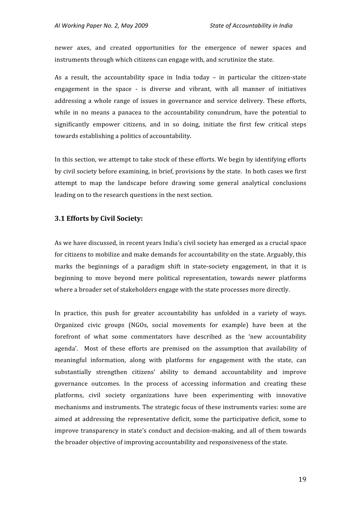newer
 axes,
 and
 created
 opportunities
 for
 the
 emergence
 of
 newer
 spaces
 and instruments
through
which
citizens
can
engage
with,
and
scrutinize
the
state.

As a result, the accountability space in India today – in particular the citizen-state engagement in the space - is diverse and vibrant, with all manner of initiatives addressing a whole range of issues in governance and service delivery. These efforts, while in no means a panacea to the accountability conundrum, have the potential to significantly empower citizens, and in so doing, initiate the first few critical steps towards
establishing
a
politics
of
accountability.

In this section, we attempt to take stock of these efforts. We begin by identifying efforts by civil society before examining, in brief, provisions by the state. In both cases we first attempt
 to
 map
 the
 landscape
 before
 drawing
 some
 general
 analytical
 conclusions leading
on
to
the
research
questions
in
the
next
section.

#### **3.1
Efforts
by
Civil
Society:**

As we have discussed, in recent years India's civil society has emerged as a crucial space for citizens to mobilize and make demands for accountability on the state. Arguably, this marks the beginnings of a paradigm shift in state-society engagement, in that it is beginning
 to
 move
 beyond
 mere
 political
 representation,
 towards
 newer
 platforms where a broader set of stakeholders engage with the state processes more directly.

In practice, this push for greater accountability has unfolded in a variety of ways. Organized
 civic
 groups
 (NGOs,
 social
 movements
 for
 example)
 have
 been
 at
 the forefront of what some commentators have described as the 'new accountability agenda'. Most of these efforts are premised on the assumption that availability of meaningful information, along with platforms for engagement with the state, can substantially strengthen citizens' ability to demand accountability and improve governance
 outcomes.
 In
 the
 process
 of
 accessing
 information and
 creating
 these platforms,
 civil
 society
 organizations
 have
 been
 experimenting
 with
 innovative mechanisms
and
instruments.
The
strategic
focus
of
these
instruments
varies:
some
are aimed at addressing the representative deficit, some the participative deficit, some to improve transparency in state's conduct and decision-making, and all of them towards the
broader
objective
of
improving
accountability
and
responsiveness
of
the
state.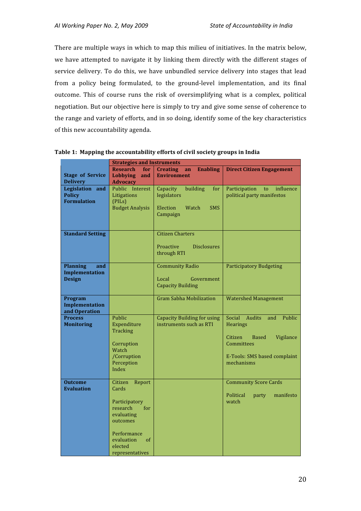There are multiple ways in which to map this milieu of initiatives. In the matrix below, we have attempted to navigate it by linking them directly with the different stages of service delivery. To do this, we have unbundled service delivery into stages that lead from a policy being formulated, to the ground-level implementation, and its final outcome. This of course runs the risk of oversimplifying what is a complex, political negotiation. But our objective here is simply to try and give some sense of coherence to the
range
and
variety
of
efforts,
and
in
so
doing,
identify
some
of
the
key
characteristics of
this
new
accountability
agenda.

|                         | <b>Strategies and Instruments</b> |                                          |                                            |  |
|-------------------------|-----------------------------------|------------------------------------------|--------------------------------------------|--|
|                         | <b>Research</b><br>for            | <b>Enabling</b><br><b>Creating</b><br>an | <b>Direct Citizen Engagement</b>           |  |
| <b>Stage of Service</b> | <b>Lobbying</b><br>and            | <b>Environment</b>                       |                                            |  |
| <b>Delivery</b>         | <b>Advocacy</b>                   |                                          |                                            |  |
| Legislation and         | Public Interest                   | building<br>Capacity<br>for              | Participation<br>influence<br>to           |  |
| <b>Policy</b>           | Litigations                       | legislators                              | political party manifestos                 |  |
| <b>Formulation</b>      | (PILs)                            |                                          |                                            |  |
|                         | <b>Budget Analysis</b>            | Election<br>Watch<br><b>SMS</b>          |                                            |  |
|                         |                                   | Campaign                                 |                                            |  |
|                         |                                   |                                          |                                            |  |
| <b>Standard Setting</b> |                                   | <b>Citizen Charters</b>                  |                                            |  |
|                         |                                   |                                          |                                            |  |
|                         |                                   | Proactive<br><b>Disclosures</b>          |                                            |  |
|                         |                                   | through RTI                              |                                            |  |
|                         |                                   |                                          |                                            |  |
| <b>Planning</b><br>and  |                                   | <b>Community Radio</b>                   | <b>Participatory Budgeting</b>             |  |
| <b>Implementation</b>   |                                   |                                          |                                            |  |
| <b>Design</b>           |                                   | Local<br>Government                      |                                            |  |
|                         |                                   | <b>Capacity Building</b>                 |                                            |  |
|                         |                                   |                                          |                                            |  |
| Program                 |                                   | <b>Gram Sabha Mobilization</b>           | <b>Watershed Management</b>                |  |
| <b>Implementation</b>   |                                   |                                          |                                            |  |
| and Operation           |                                   |                                          |                                            |  |
| <b>Process</b>          | Public                            | <b>Capacity Building for using</b>       | Social Audits<br>Public<br>and             |  |
| <b>Monitoring</b>       | Expenditure                       | instruments such as RTI                  | Hearings                                   |  |
|                         | Tracking                          |                                          |                                            |  |
|                         |                                   |                                          | Citizen<br>Vigilance<br>Based              |  |
|                         | Corruption                        |                                          | <b>Committees</b>                          |  |
|                         | Watch                             |                                          |                                            |  |
|                         | /Corruption<br>Perception         |                                          | E-Tools: SMS based complaint<br>mechanisms |  |
|                         | Index                             |                                          |                                            |  |
|                         |                                   |                                          |                                            |  |
| <b>Outcome</b>          | Citizen<br>Report                 |                                          | <b>Community Score Cards</b>               |  |
| <b>Evaluation</b>       | Cards                             |                                          |                                            |  |
|                         |                                   |                                          | Political<br>manifesto<br>party            |  |
|                         | Participatory                     |                                          | watch                                      |  |
|                         | research<br>for                   |                                          |                                            |  |
|                         | evaluating                        |                                          |                                            |  |
|                         | outcomes                          |                                          |                                            |  |
|                         |                                   |                                          |                                            |  |
|                         | Performance                       |                                          |                                            |  |
|                         | evaluation<br><sub>of</sub>       |                                          |                                            |  |
|                         | elected                           |                                          |                                            |  |
|                         | representatives                   |                                          |                                            |  |

#### **Table
1:

Mapping
the
accountability
efforts
of
civil
society
groups
in
India**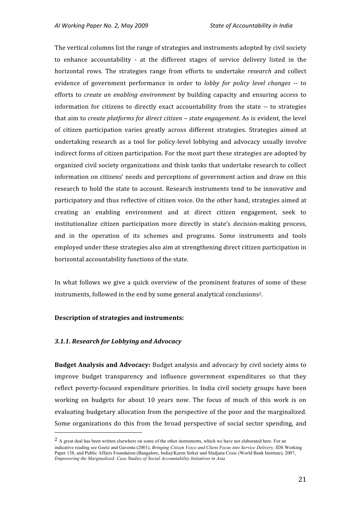The
vertical
columns
list
the
range
of
strategies
and
instruments
adopted
by
civil
society to enhance accountability - at the different stages of service delivery listed in the horizontal rows. The strategies range from efforts to undertake *research* and collect evidence of government performance in order to *lobby for policy level changes* -- to efforts to *create an enabling environment* by building capacity and ensuring access to information
 for
 citizens
 to
 directly
 exact
 accountability
 from
 the
 state
‐‐
 to
 strategies that aim to *create platforms for direct citizen* – *state engagement*. As is evident, the level of
 citizen
 participation
 varies
 greatly
 across
 different
 strategies.
 Strategies
 aimed
 at undertaking research as a tool for policy-level lobbying and advocacy usually involve indirect
forms
of
citizen
participation.
For
the
most
part
these
strategies
are
adopted
by organized
civil
society
organizations
and
think
tanks
that
undertake
research
to
collect information
on
citizens'
needs
and
perceptions
of
government
action
and
draw
on
 this research to hold the state to account. Research instruments tend to be innovative and participatory
and
thus
reflective
of
citizen
voice.
On
the
other
hand,
strategies
aimed
at creating
 an
 enabling
 environment
 and
 at
 direct
 citizen
 engagement,
 seek
 to institutionalize citizen participation more directly in state's decision-making process, and in the operation of its schemes and programs. Some instruments and tools employed
under
these
strategies
also
aim
at
strengthening
direct
citizen
participation
in horizontal
accountability
functions
of
the
state.

In what follows we give a quick overview of the prominent features of some of these instruments,
followed
in
the
end
by
some
general
analytical
conclusions2.

#### **Description
of
strategies
and
instruments:**

#### *3.1.1.
Research
for
Lobbying
and
Advocacy*

**Budget Analysis and Advocacy:** Budget analysis and advocacy by civil society aims to improve budget transparency and influence government expenditures so that they reflect poverty-focused expenditure priorities. In India civil society groups have been working on budgets for about 10 years now. The focus of much of this work is on evaluating
budgetary
allocation
 from
the
perspective
of
the
poor
and
the
marginalized. Some organizations do this from the broad perspective of social sector spending, and

<sup>&</sup>lt;sup>2</sup> A great deal has been written elsewhere on some of the other instruments, which we have not elaborated here. For an indicative reading see Goetz and Gaventa (2001), *Bringing Citizen Voice and Client Focus into Service Delivery*, IDS Working Paper 138, and Public Affairs Foundation (Bangalore, India)/Karen Sirker and Sladjana Cosic (World Bank Institute), 2007, *Empowering the Marginalized: Case Studies of Social Accountability Initiatives in Asia*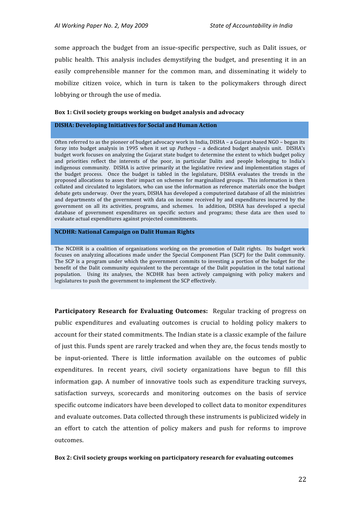some approach the budget from an issue-specific perspective, such as Dalit issues, or public health. This analysis includes demystifying the budget, and presenting it in an easily comprehensible manner for the common man, and disseminating it widely to mobilize citizen voice, which in turn is taken to the policymakers through direct lobbying
or
through
the
use
of
media.

#### **Box
1:
Civil
society
groups
working
on
budget
analysis
and
advocacy**

#### **DISHA:
Developing
Initiatives
for
Social
and
Human
Action**

Often referred to as the pioneer of budget advocacy work in India, DISHA - a Gujarat-based NGO - began its foray into budget analysis in 1995 when it set up *Patheya* – a dedicated budget analysis unit. DISHA's budget
work
focuses
on
analyzing
the
Gujarat
state
budget
to
determine
the
extent
to
which
budget
policy and priorities reflect the interests of the poor, in particular Dalits and people belonging to India's indigenous community. DISHA is active primarily at the legislative review and implementation stages of the budget process. Once the budget is tabled in the legislature. DISHA evaluates the trends in the proposed allocations to asses their impact on schemes for marginalized groups. This information is then collated
and
circulated
to
legislators,
who
can
use
the
information
as
reference
materials
once
the
budget debate
gets
underway.

Over
the
years,
DISHA
has
developed
a
computerized
database
of
all
the
ministries and departments of the government with data on income received by and expenditures incurred by the government on all its activities, programs, and schemes. In addition, DISHA has developed a special database of government expenditures on specific sectors and programs; these data are then used to evaluate
actual
expenditures
against
projected
commitments.

#### **NCDHR:
National
Campaign
on
Dalit
Human
Rights**

The NCDHR is a coalition of organizations working on the promotion of Dalit rights. Its budget work focuses on analyzing allocations made under the Special Component Plan (SCP) for the Dalit community. The SCP is a program under which the government commits to investing a portion of the budget for the benefit of the Dalit community equivalent to the percentage of the Dalit population in the total national population. Using its analyses, the NCDHR has been actively campaigning with policy makers and legislatures
to
push
the
government
to
implement
the
SCP
effectively.

**Participatory Research for Evaluating Outcomes:** Regular tracking of progress on public expenditures and evaluating outcomes is crucial to holding policy makers to account for their stated commitments. The Indian state is a classic example of the failure of
just
this.
Funds
spent
are
rarely
tracked
and
when
they
are,
the
focus
tends
mostly
to be input-oriented. There is little information available on the outcomes of public expenditures. In recent vears, civil society organizations have begun to fill this information gap. A number of innovative tools such as expenditure tracking surveys, satisfaction surveys, scorecards and monitoring outcomes on the basis of service specific
outcome
indicators
have
been
developed
to
collect
data
to
monitor
expenditures and
evaluate
outcomes.
Data
collected
through
these
instruments
is
publicized
widely
in an effort to catch the attention of policy makers and push for reforms to improve outcomes.

#### Box 2: Civil society groups working on participatory research for evaluating outcomes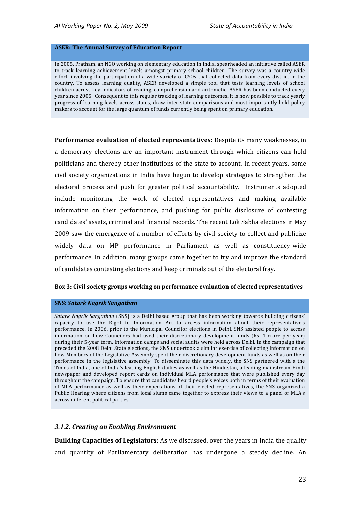#### **ASER:
The
Annual
Survey
of
Education
Report**

In 2005, Pratham, an NGO working on elementary education in India, spearheaded an initiative called ASER to track learning achievement levels amongst primary school children. The survey was a country-wide effort, involving the participation of a wide variety of CSOs that collected data from every district in the country. To assess learning quality, ASER developed a simple tool that tests learning levels of school children
across
key
indicators
of
reading,
comprehension
and
arithmetic.
ASER
has
been
conducted
every year since 2005. Consequent to this regular tracking of learning outcomes, it is now possible to track yearly progress of learning levels across states, draw inter-state comparisons and most importantly hold policy makers to account for the large quantum of funds currently being spent on primary education.

Performance evaluation of elected representatives: Despite its many weaknesses, in a democracy elections are an important instrument through which citizens can hold politicians and thereby other institutions of the state to account. In recent years, some civil
 society
 organizations
in
 India
 have
 begun
 to
 develop
 strategies
 to
 strengthen
 the electoral
 process
 and
 push
 for
 greater
 political
 accountability.

 Instruments
 adopted include
 monitoring
 the
 work
 of
 elected
 representatives
 and
 making
 available information
 on
 their
 performance,
 and
 pushing
 for
 public
 disclosure
 of
 contesting candidates'
assets,
criminal
and
financial
records.
The
recent
Lok
Sabha
elections
in
May 2009
saw
the
emergence
of
a
number
of
efforts
by
civil
society
to
collect
and
publicize widely data on MP performance in Parliament as well as constituency-wide performance.
 In
addition,
many
groups
came
together
to
try
and
improve
the
standard of
candidates
contesting
elections
and
keep
criminals
out
of
the
electoral
fray.

#### **Box
3:
Civil
society
groups
working
on
performance
evaluation
of
elected
representatives**

#### **SNS:** *Satark
Nagrik
Sangathan*

Satark Nagrik Sangathan (SNS) is a Delhi based group that has been working towards building citizens' capacity to use the Right to Information Act to access information about their representative's performance. In 2006, prior to the Municipal Councilor elections in Delhi, SNS assisted people to access information on how Councilors had used their discretionary development funds (Rs. 1 crore per year) during their 5-year term. Information camps and social audits were held across Delhi. In the campaign that preceded the 2008 Delhi State elections, the SNS undertook a similar exercise of collecting information on how Members of the Legislative Assembly spent their discretionary development funds as well as on their performance in the legislative assembly. To disseminate this data widely, the SNS partnered with a the Times of India, one of India's leading English dailies as well as the Hindustan, a leading mainstream Hindi newspaper and developed report cards on individual MLA performance that were published every day throughout the campaign. To ensure that candidates heard people's voices both in terms of their evaluation of MLA performance as well as their expectations of their elected representatives, the SNS organized a Public Hearing where citizens from local slums came together to express their views to a panel of MLA's across
different
political
parties.

#### *3.1.2.
Creating
an
Enabling
Environment*

**Building Capacities of Legislators:** As we discussed, over the years in India the quality and quantity of Parliamentary deliberation has undergone a steady decline. An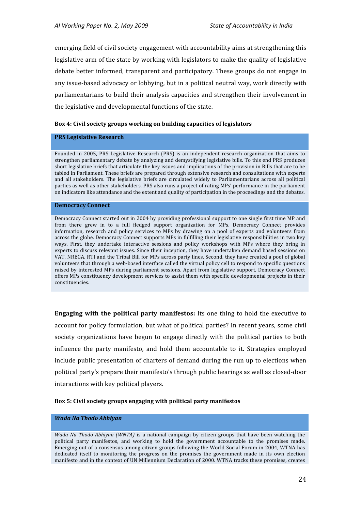emerging
field
of
civil
society
engagement
with
accountability
aims
at
strengthening
this legislative arm of the state by working with legislators to make the quality of legislative debate
 better
informed,
 transparent
and
 participatory.
 These
groups
 do
 not
engage
in any issue-based advocacy or lobbying, but in a political neutral way, work directly with parliamentarians
 to
build
 their
analysis
capacities
and
strengthen
 their
involvement
in the
legislative
and
developmental
functions
of
the
state.

#### **Box
4:
Civil
society
groups
working
on
building
capacities
of
legislators**

#### **PRS
Legislative
Research**

Founded in 2005, PRS Legislative Research (PRS) is an independent research organization that aims to strengthen parliamentary debate by analyzing and demystifying legislative bills. To this end PRS produces short legislative briefs that articulate the key issues and implications of the provision in Bills that are to be tabled in Parliament. These briefs are prepared through extensive research and consultations with experts and all stakeholders. The legislative briefs are circulated widely to Parliamentarians across all political parties as well as other stakeholders. PRS also runs a project of rating MPs' performance in the parliament on
indicators
like
attendance
and
the
extent
and
quality
of
participation
in
the
proceedings
and
the
debates.

#### **Democracy
Connect**

Democracy
Connect
started
out
in
2004
by
providing
professional
support
to
one
single
first
time
MP
and from there grew in to a full fledged support organization for MPs. Democracy Connect provides information, research and policy services to MPs by drawing on a pool of experts and volunteers from across
the
globe.
Democracy
Connect
supports
MPs
in
fulfilling
their
legislative
responsibilities
in
two
key ways. First, they undertake interactive sessions and policy workshops with MPs where they bring in experts to discuss relevant issues. Since their inception, they have undertaken demand based sessions on VAT, NREGA, RTI and the Tribal Bill for MPs across party lines. Second, they have created a pool of global volunteers that through a web-based interface called the virtual policy cell to respond to specific questions raised by interested MPs during parliament sessions. Apart from legislative support, Democracy Connect offers MPs constituency development services to assist them with specific developmental projects in their constituencies.

**Engaging with the political party manifestos:** Its one thing to hold the executive to account for policy formulation, but what of political parties? In recent years, some civil society organizations have begun to engage directly with the political parties to both influence the party manifesto, and hold them accountable to it. Strategies employed include
public
presentation
of
charters
of
demand
during
the
run
up
to
elections
when political
party's
prepare
their
manifesto's
through
public
hearings
as
well
as
closed‐door interactions
with
key
political
players.

#### **Box
5:
Civil
society
groups
engaging
with
political
party
manifestos**

#### *Wada
Na
Thodo
Abhiyan*

*Wada Na Thodo Abhiyan (WNTA)* is a national campaign by citizen groups that have been watching the political party manifestos, and working to hold the government accountable to the promises made. Emerging out of a consensus among citizen groups following the World Social Forum in 2004, WTNA has dedicated itself to monitoring the progress on the promises the government made in its own election manifesto and in the context of UN Millennium Declaration of 2000. WTNA tracks these promises, creates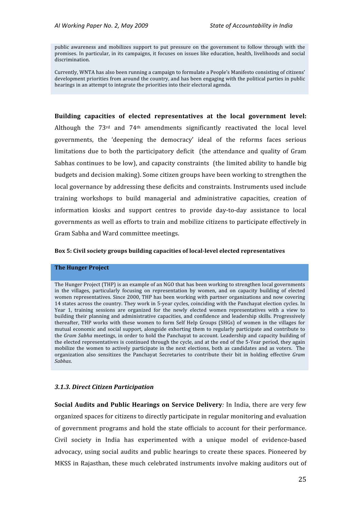public awareness and mobilizes support to put pressure on the government to follow through with the promises. In particular, in its campaigns, it focuses on issues like education, health, livelihoods and social discrimination.

Currently, WNTA has also been running a campaign to formulate a People's Manifesto consisting of citizens' development priorities from around the country, and has been engaging with the political parties in public hearings in an attempt to integrate the priorities into their electoral agenda.

#### Building capacities of elected representatives at the local government level:

Although the  $73<sup>rd</sup>$  and  $74<sup>th</sup>$  amendments significantly reactivated the local level governments, the 'deepening the democracy' ideal of the reforms faces serious limitations due to both the participatory deficit (the attendance and quality of Gram Sabhas continues to be low), and capacity constraints (the limited ability to handle big budgets
and
decision
making).
Some
citizen
groups
have
been
working
to
strengthen
the local governance by addressing these deficits and constraints. Instruments used include training workshops
 to
 build
 managerial
 and
 administrative
 capacities,
 creation
 of information kiosks and support centres to provide day-to-day assistance to local governments
as
well
as
efforts
to
train
and
mobilize
citizens
to
participate
effectively
in Gram
Sabha
and
Ward
committee
meetings.

#### Box 5: Civil society groups building capacities of local-level elected representatives

#### **The
Hunger
Project**

The
Hunger
Project
(THP)
is
an
example
of
an
NGO
that
has
been
working
to
strengthen
local
governments in the villages, particularly focusing on representation by women, and on capacity building of elected women representatives. Since 2000, THP has been working with partner organizations and now covering 14 states across the country. They work in 5-year cycles, coinciding with the Panchayat election cycles. In Year 1, training sessions are organized for the newly elected women representatives with a view to building
 their
 planning
and
administrative
 capacities,
and
 confidence
and
leadership
 skills.
 Progressively thereafter, THP works with these women to form Self Help Groups (SHGs) of women in the villages for mutual economic and social support, alongside exhorting them to regularly participate and contribute to the *Gram Sabha* meetings, in order to hold the Panchayat to account. Leadership and capacity building of the elected representatives is continued through the cycle, and at the end of the 5-Year period, they again mobilize the women to actively participate in the next elections, both as candidates and as voters. The organization also sensitizes the Panchayat Secretaries to contribute their bit in holding effective Gram *Sabhas*.

#### *3.1.3.
Direct
Citizen
Participation*

**Social Audits and Public Hearings on Service Delivery***:* In India, there are very few organized
spaces
for
citizens
to
directly
participate
in
regular
monitoring
and
evaluation of
government
 programs
and
 hold
 the
 state
 officials
 to
account
 for
 their
 performance. Civil society in India has experimented with a unique model of evidence-based advocacy, using social audits and public hearings to create these spaces. Pioneered by MKSS in Rajasthan, these much celebrated instruments involve making auditors out of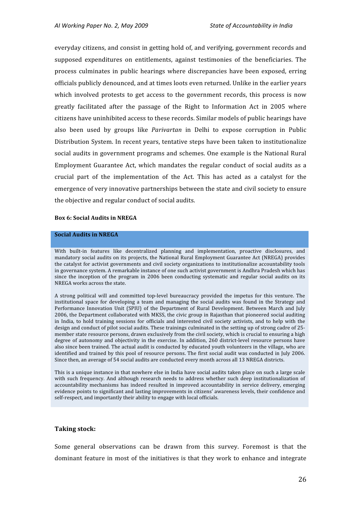everyday
citizens,
and
consist
in
getting
hold
of,
and
verifying,
government
records
and supposed
 expenditures
 on
 entitlements,
 against
 testimonies
 of
 the
 beneficiaries.
 The process culminates in public hearings where discrepancies have been exposed, erring officials
publicly
denounced,
and
at
times
loots
even
returned.
Unlike
in
the
earlier
years which involved protests to get access to the government records, this process is now greatly facilitated after the passage of the Right to Information Act in 2005 where citizens
have
uninhibited
access
to
these
records.
Similar
models
of
public
hearings
have also been used by groups like *Parivartan* in Delhi to expose corruption in Public Distribution
System.
In
recent
years,
tentative
steps
have
been
taken
to
institutionalize social audits in government programs and schemes. One example is the National Rural Employment Guarantee Act, which mandates the regular conduct of social audits as a crucial part of the implementation of the Act. This has acted as a catalyst for the emergence
of
very
innovative
partnerships
between
the
state
and
civil
society
to
ensure the
objective
and
regular
conduct
of
social
audits.

#### **Box
6:
Social
Audits
in
NREGA**

#### **Social
Audits
in
NREGA**

With built-in features like decentralized planning and implementation, proactive disclosures, and mandatory social audits on its projects, the National Rural Employment Guarantee Act (NREGA) provides the catalyst for activist governments and civil society organizations to institutionalize accountability tools in governance system. A remarkable instance of one such activist government is Andhra Pradesh which has since the inception of the program in 2006 been conducting systematic and regular social audits on its NREGA
works
across
the
state.

A strong political will and committed top-level bureaucracy provided the impetus for this venture. The institutional space for developing a team and managing the social audits was found in the Strategy and Performance Innovation Unit (SPIU) of the Department of Rural Development. Between March and July 2006,
the
Department
collaborated
with
MKSS,
the
civic
group
in
Rajasthan
that
pioneered
social
auditing in India, to hold training sessions for officials and interested civil society activists, and to help with the design and conduct of pilot social audits. These trainings culminated in the setting up of strong cadre of 25member state resource persons, drawn exclusively from the civil society, which is crucial to ensuring a high degree of autonomy and objectivity in the exercise. In addition, 260 district-level resource persons have also since been trained. The actual audit is conducted by educated youth volunteers in the village, who are identified and trained by this pool of resource persons. The first social audit was conducted in July 2006. Since then, an average of 54 social audits are conducted every month across all 13 NREGA districts.

This is a unique instance in that nowhere else in India have social audits taken place on such a large scale with such frequency. And although research needs to address whether such deep institutionalization of accountability mechanisms has indeed resulted in improved accountability in service delivery, emerging evidence
points
to
significant
and
lasting
improvements
in
citizens'
awareness
levels,
their
confidence
and self-respect, and importantly their ability to engage with local officials.

#### **Taking
stock:**

Some general observations can be drawn from this survey. Foremost is that the dominant feature in most of the initiatives is that they work to enhance and integrate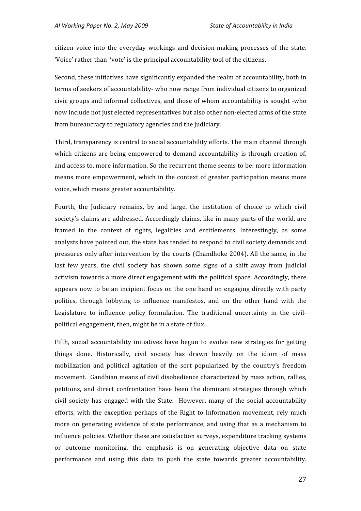citizen voice into the everyday workings and decision-making processes of the state. 'Voice' rather than 'vote' is the principal accountability tool of the citizens.

Second, these initiatives have significantly expanded the realm of accountability, both in terms
of
seekers
of
accountability‐
who
now
range
from
individual
citizens
to
organized civic
groups
and
informal
collectives,
and
those
of
whom
accountability
is
sought
‐who now include not just elected representatives but also other non-elected arms of the state from
bureaucracy
to
regulatory
agencies
and
the
judiciary.

Third, transparency is central to social accountability efforts. The main channel through which citizens are being empowered to demand accountability is through creation of, and
access
to,
more
information.
So
the
recurrent
theme
seems
to
be:
more
information means more empowerment, which in the context of greater participation means more voice,
which
means
greater
accountability.

Fourth, the Judiciary remains, by and large, the institution of choice to which civil society's claims are addressed. Accordingly claims, like in many parts of the world, are framed in the context of rights, legalities and entitlements. Interestingly, as some analysts have pointed out, the state has tended to respond to civil society demands and pressures
only
after
intervention
by
 the
courts
(Chandhoke
2004).
All
 the
same,
in
 the last few years, the civil society has shown some signs of a shift away from judicial activism
towards
a
more
direct
engagement
with
the
political
space.
Accordingly,
there appears
now
 to
be
an
incipient
 focus
on
 the
one
hand
on
engaging
directly
with
party politics, through lobbying to influence manifestos, and on the other hand with the Legislature to influence policy formulation. The traditional uncertainty in the civilpolitical
engagement,
then,
might
be
in
a
state
of
flux.

Fifth, social accountability initiatives have begun to evolve new strategies for getting things done. Historically, civil society has drawn heavily on the idiom of mass mobilization
 and
 political
 agitation
 of
 the
 sort
 popularized
 by
 the
 country's
 freedom movement.

Gandhian
means
of
civil
disobedience
characterized
by
mass
action,
rallies, petitions,
 and
 direct
 confrontation
 have
 been
 the
 dominant
 strategies
 through
 which civil society has engaged with the State. However, many of the social accountability efforts, with the exception perhaps of the Right to Information movement, rely much more on generating evidence of state performance, and using that as a mechanism to influence
policies.
Whether
these
are
satisfaction
surveys,
expenditure
tracking
systems or outcome monitoring, the emphasis is on generating objective data on state performance
 and
 using
 this
 data
 to
 push
 the
 state
 towards
 greater
 accountability.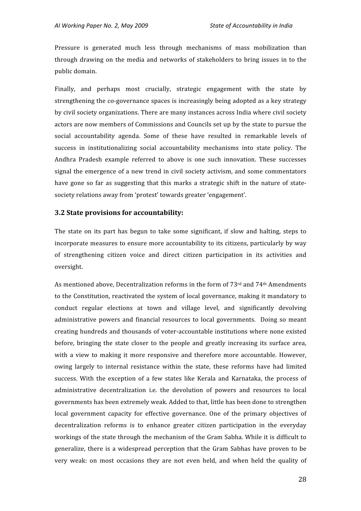Pressure is generated much less through mechanisms of mass mobilization than through drawing on the media and networks of stakeholders to bring issues in to the public
domain.

Finally, and perhaps most crucially, strategic engagement with the state by strengthening the co-governance spaces is increasingly being adopted as a key strategy by
civil
society
organizations.
There
are
many
instances
across
India
where
civil
society actors
are
now
members
of
Commissions
and
Councils
set
up
by
the
state
to
pursue
the social accountability agenda. Some of these have resulted in remarkable levels of success in institutionalizing social accountability mechanisms into state policy. The Andhra Pradesh example referred to above is one such innovation. These successes signal the emergence of a new trend in civil society activism, and some commentators have gone so far as suggesting that this marks a strategic shift in the nature of statesociety
relations
away
from
'protest'
towards
greater
'engagement'.

#### **3.2
State
provisions
for
accountability:**

The state on its part has begun to take some significant, if slow and halting, steps to incorporate measures to ensure more accountability to its citizens, particularly by way of strengthening citizen voice and direct citizen participation in its activities and oversight.

As mentioned above, Decentralization reforms in the form of  $73<sup>rd</sup>$  and  $74<sup>th</sup>$  Amendments to the Constitution, reactivated the system of local governance, making it mandatory to conduct regular elections at town and village level, and significantly devolving administrative powers and financial resources to local governments. Doing so meant creating
hundreds
and
thousands
of
voter‐accountable
institutions
where
none
existed before, bringing the state closer to the people and greatly increasing its surface area, with a view to making it more responsive and therefore more accountable. However, owing largely to internal resistance within the state, these reforms have had limited success. With the exception of a few states like Kerala and Karnataka, the process of administrative decentralization *i.e.* the devolution of powers and resources to local governments
has
been
extremely
weak.
Added
to
that,
little
has
been
done
to
strengthen local government capacity for effective governance. One of the primary objectives of decentralization reforms is to enhance greater citizen participation in the everyday workings of the state through the mechanism of the Gram Sabha. While it is difficult to generalize,
 there
is
 a
 widespread
 perception
 that
 the
 Gram
 Sabhas
 have
 proven
 to
 be very weak: on most occasions they are not even held, and when held the quality of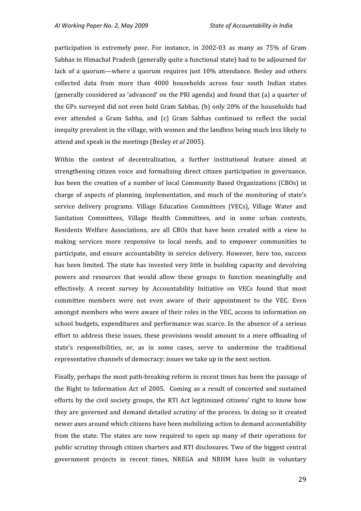participation is extremely poor. For instance, in 2002-03 as many as 75% of Gram Sabhas
in
Himachal
Pradesh
(generally
quite
a
functional
state)
had
to
be
adjourned
for lack of a quorum—where a quorum requires just 10% attendance. Besley and others collected data from more than 4000 households across four south Indian states (generally
considered
as
'advanced'
on
the
PRI
agenda)
and
 found
that
(a)
a
quarter
of the GPs surveyed did not even hold Gram Sabhas, (b) only 20% of the households had ever attended a Gram Sabha, and (c) Gram Sabhas continued to reflect the social inequity prevalent in the village, with women and the landless being much less likely to attend
and
speak
in
the
meetings
(Besley *et
al* 2005).

Within the context of decentralization, a further institutional feature aimed at strengthening citizen voice and formalizing direct citizen participation in governance, has been the creation of a number of local Community Based Organizations (CBOs) in charge of aspects of planning, implementation, and much of the monitoring of state's service delivery programs. Village Education Committees (VECs), Village Water and Sanitation Committees, Village Health Committees, and in some urban contexts, Residents Welfare Associations, are all CBOs that have been created with a view to making services more responsive to local needs, and to empower communities to participate, and ensure accountability in service delivery. However, here too, success has been limited. The state has invested very little in building capacity and devolving powers and resources that would allow these groups to function meaningfully and effectively. A recent survey by Accountability Initiative on VECs found that most committee members were not even aware of their appointment to the VEC. Even amongst
members
who
were
aware
of
 their
roles
in
 the
VEC,
access
 to
information
on school
budgets,
expenditures
and
performance
was
 scarce.
 In
 the
absence
 of
a
 serious effort to address these issues, these provisions would amount to a mere offloading of state's responsibilities, or, as in some cases, serve to undermine the traditional representative
channels
of
democracy:
issues
we
take
up
in
the
next
section.

Finally, perhaps the most path-breaking reform in recent times has been the passage of the Right to Information Act of 2005. Coming as a result of concerted and sustained efforts by the civil society groups, the RTI Act legitimized citizens' right to know how they are governed and demand detailed scrutiny of the process. In doing so it created newer
axes
around
which
citizens
have
been
mobilizing
action
to
demand
accountability from the state. The states are now required to open up many of their operations for public scrutiny through citizen charters and RTI disclosures. Two of the biggest central government
 projects
 in
 recent
 times,
 NREGA
 and
 NRHM
 have
 built
 in
 voluntary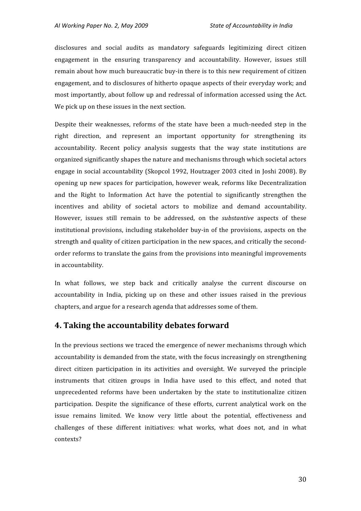disclosures and social audits as mandatory safeguards legitimizing direct citizen engagement in the ensuring transparency and accountability. However, issues still remain about how much bureaucratic buy-in there is to this new requirement of citizen engagement,
and
to
disclosures
of
hitherto
opaque
aspects
of
their
everyday
work;
and most
importantly,
about
follow
up
and
redressal
of
information
accessed
using
the
Act. We pick up on these issues in the next section.

Despite their weaknesses, reforms of the state have been a much-needed step in the right direction, and represent an important opportunity for strengthening its accountability. Recent policy analysis suggests that the way state institutions are organized
significantly
shapes
the
nature
and
mechanisms
through
which
societal
actors engage
in
social
accountability
(Skopcol
1992,
Houtzager
2003
cited
in
 Joshi
2008).
By opening
up
new
 spaces
 for
participation,
however
weak,
 reforms
like
Decentralization and the Right to Information Act have the potential to significantly strengthen the incentives and ability of societal actors to mobilize and demand accountability. However, issues still remain to be addressed, on the *substantive* aspects of these institutional provisions, including stakeholder buy-in of the provisions, aspects on the strength and quality of citizen participation in the new spaces, and critically the secondorder
reforms
to
translate
the
gains
from
the
provisions
into
meaningful
improvements in
accountability.

In what follows, we step back and critically analyse the current discourse on accountability in India, picking up on these and other issues raised in the previous chapters,
and
argue
for
a
research
agenda
that
addresses
some
of
them.

### **4.
Taking
the
accountability
debates
forward**

In the previous sections we traced the emergence of newer mechanisms through which accountability
is
demanded
from
the
state,
with
the
focus
increasingly
on
strengthening direct citizen participation in its activities and oversight. We surveyed the principle instruments that citizen groups in India have used to this effect, and noted that unprecedented reforms have been undertaken by the state to institutionalize citizen participation. Despite the significance of these efforts, current analytical work on the issue remains limited. We know very little about the potential, effectiveness and challenges of these different initiatives: what works, what does not, and in what contexts?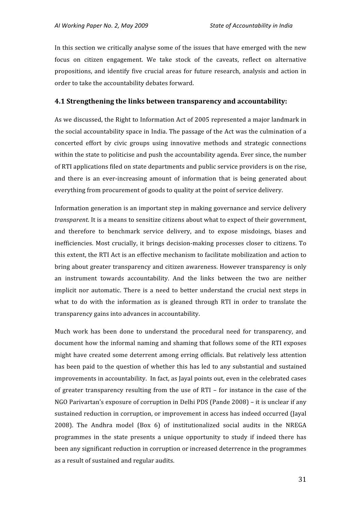In this section we critically analyse some of the issues that have emerged with the new focus on citizen engagement. We take stock of the caveats, reflect on alternative propositions,
 and
identify
 five
 crucial
 areas
 for
 future research,
 analysis
 and
 action
in order
to
take
the
accountability
debates
forward.

#### **4.1
Strengthening
the
links
between
transparency
and
accountability:**

As
we
discussed,
the
Right
to
Information
Act
of
2005
represented
a
major
landmark
in the social accountability space in India. The passage of the Act was the culmination of a concerted
 effort
 by
 civic
 groups
 using
 innovative
 methods
 and
 strategic
 connections within the state to politicise and push the accountability agenda. Ever since, the number of
RTI
applications
filed
on
state
departments
and
public
service
providers
is
on
the
rise, and there is an ever-increasing amount of information that is being generated about everything
from
procurement
of
goods
to
quality
at
the
point
of
service
delivery.

Information generation is an important step in making governance and service delivery *transparent*. It is a means to sensitize citizens about what to expect of their government, and
 therefore
 to
 benchmark
 service
 delivery,
 and
 to
 expose
 misdoings,
 biases
 and inefficiencies. Most crucially, it brings decision-making processes closer to citizens. To this extent, the RTI Act is an effective mechanism to facilitate mobilization and action to bring about greater transparency and citizen awareness. However transparency is only an
 instrument
 towards
 accountability.
 And
 the
 links
 between
 the
 two
 are
 neither implicit nor automatic. There is a need to better understand the crucial next steps in what to do with the information as is gleaned through RTI in order to translate the transparency
gains
into
advances
in
accountability.

Much work has been done to understand the procedural need for transparency, and document how the informal naming and shaming that follows some of the RTI exposes might
have
created
some
deterrent
among
erring
officials.
But
relatively
less
attention has been paid to the question of whether this has led to any substantial and sustained improvements
in
accountability.

In
fact,
as
Jayal
points
out,
even
in
the
celebrated
cases of greater transparency resulting from the use of RTI – for instance in the case of the NGO Parivartan's exposure of corruption in Delhi PDS (Pande 2008) – it is unclear if any sustained reduction in corruption, or improvement in access has indeed occurred (Jayal 2008).
 The
 Andhra
 model
 (Box
 6)
 of
 institutionalized
 social
 audits
 in
 the
 NREGA programmes in the state presents a unique opportunity to study if indeed there has been
any
significant
reduction
in
corruption
or
increased
deterrence
in
the
programmes as
a
result
of
sustained
and
regular
audits.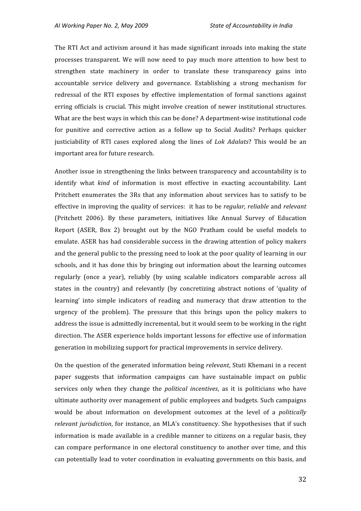*AI
Working
Paper
No.
2,
May
2009

State
of
Accountability
in
India*

The RTI Act and activism around it has made significant inroads into making the state processes
 transparent.
We
 will
 now
 need
 to
 pay
much
more
 attention
 to
 how
 best
 to strengthen state machinery in order to translate these transparency gains into accountable
 service
 delivery
 and
 governance.
 Establishing
 a
 strong
 mechanism
 for redressal of the RTI exposes by effective implementation of formal sanctions against erring officials is crucial. This might involve creation of newer institutional structures. What are the best ways in which this can be done? A department-wise institutional code for punitive and corrective action as a follow up to Social Audits? Perhaps quicker justiciability of RTI cases explored along the lines of *Lok Adalats*? This would be an important
area
for
future
research.

Another
issue
in
strengthening
the
links
between
transparency
and
accountability
is
to identify what *kind* of information is most effective in exacting accountability. Lant Pritchett enumerates the 3Rs that any information about services has to satisfy to be effective in improving the quality of services: it has to be *regular, reliable* and *relevant* (Pritchett 2006). By these parameters, initiatives like Annual Survey of Education Report (ASER, Box 2) brought out by the NGO Pratham could be useful models to emulate.
ASER
has
had
considerable
success
in
 the
drawing
attention
of
policy
makers and the general public to the pressing need to look at the poor quality of learning in our schools, and it has done this by bringing out information about the learning outcomes regularly (once a year), reliably (by using scalable indicators comparable across all states in the country) and relevantly (by concretizing abstract notions of 'quality of learning' into simple indicators of reading and numeracy that draw attention to the urgency of the problem). The pressure that this brings upon the policy makers to address the issue is admittedly incremental, but it would seem to be working in the right direction.
The
ASER
experience
holds
important
lessons
for
effective
use
of
information generation
in
mobilizing
support
for
practical
improvements
in
service
delivery.

On
the
question
of
the
generated
information
being *relevant*,
Stuti
Khemani
in
a
recent paper
 suggests
 that
 information
 campaigns
 can
 have
 sustainable
 impact
 on
 public services only when they change the *political incentives*, as it is politicians who have ultimate authority over management of public employees and budgets. Such campaigns would be about information on development outcomes at the level of a *politically* relevant *jurisdiction*, for instance, an MLA's constituency. She hypothesises that if such information
is
made
available
in
a
credible
manner
 to
citizens
 on
a
 regular
basis,
 they can
compare
performance
in
 one
electoral
constituency
 to
another
 over
 time,
and
 this can
potentially
lead
to
voter
coordination
in
evaluating
governments
on
this
basis,
and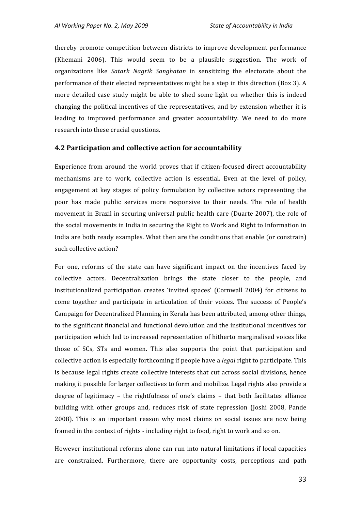thereby
 promote
 competition
 between
 districts
 to
improve
 development
 performance (Khemani
 2006).
 This
 would
 seem
 to
 be
 a
 plausible
 suggestion.
 The
 work
 of organizations like *Satark Nagrik Sanghatan* in sensitizing the electorate about the performance of their elected representatives might be a step in this direction (Box 3). A more detailed case study might be able to shed some light on whether this is indeed changing
 the
political
incentives
of
 the
 representatives,
and
by
extension
whether
it
is leading to improved performance and greater accountability. We need to do more research
into
these
crucial
questions.

#### **4.2
Participation
and
collective
action
for
accountability**

Experience from around the world proves that if citizen-focused direct accountability mechanisms are to work, collective action is essential. Even at the level of policy, engagement at key stages of policy formulation by collective actors representing the poor has made public services more responsive to their needs. The role of health movement in Brazil in securing universal public health care (Duarte 2007), the role of the
social
movements
in
India
in
securing
the
Right
to
Work
and
Right
to
Information
in India are both ready examples. What then are the conditions that enable (or constrain) such
collective
action?

For one, reforms of the state can have significant impact on the incentives faced by collective actors. Decentralization brings the state closer to the people, and institutionalized participation creates 'invited spaces' (Cornwall 2004) for citizens to come together and participate in articulation of their voices. The success of People's Campaign for Decentralized Planning in Kerala has been attributed, among other things, to the significant financial and functional devolution and the institutional incentives for participation
which
led
to
increased
representation
of
hitherto
marginalised
voices
like those of SCs, STs and women. This also supports the point that participation and collective
action
is
especially
forthcoming
if
people
have
a *legal*right
to
participate.
This is because legal rights create collective interests that cut across social divisions, hence making it possible for larger collectives to form and mobilize. Legal rights also provide a degree of legitimacy - the rightfulness of one's claims - that both facilitates alliance building with other groups and, reduces risk of state repression (Joshi 2008, Pande 2008).
 This
 is
 an
 important
 reason
 why
 most
 claims
 on
 social
 issues
 are
 now
 being framed in the context of rights - including right to food, right to work and so on.

However institutional reforms alone can run into natural limitations if local capacities are
 constrained.
 Furthermore,
 there
 are
 opportunity
 costs,
 perceptions
 and
 path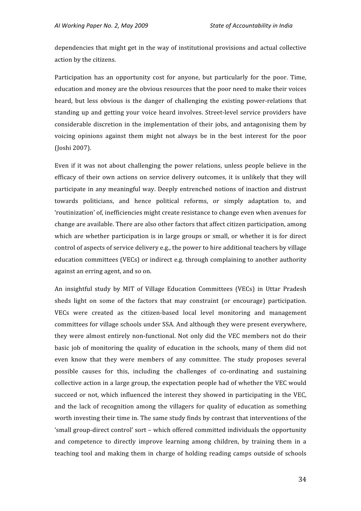dependencies that might get in the way of institutional provisions and actual collective action
by
the
citizens.

Participation has an opportunity cost for anyone, but particularly for the poor. Time, education and money are the obvious resources that the poor need to make their voices heard, but less obvious is the danger of challenging the existing power-relations that standing up and getting vour voice heard involves. Street-level service providers have considerable
 discretion
in
 the
implementation
 of
 their
jobs,
and
antagonising
 them
 by voicing opinions against them might not always be in the best interest for the poor (Joshi
2007).

Even if it was not about challenging the power relations, unless people believe in the efficacy of their own actions on service delivery outcomes, it is unlikely that they will participate
in
any
meaningful
way.
Deeply
entrenched
notions
 of
inaction
and
 distrust towards politicians, and hence political reforms, or simply adaptation to, and 'routinization'
of,
inefficiencies
might
create
resistance
to
change
even
when
avenues
for change
are
available.
There
are
also
other
factors
that
affect
citizen
participation,
among which are whether participation is in large groups or small, or whether it is for direct control
of
aspects
of
service
delivery
e.g.,
the
power
to
hire
additional
teachers
by
village education
committees
(VECs)
or
indirect
e.g.
through
complaining
to
another
authority against
an
erring
agent,
and
so
on.

An insightful study by MIT of Village Education Committees (VECs) in Uttar Pradesh sheds light on some of the factors that may constraint (or encourage) participation. VECs were created as the citizen-based local level monitoring and management committees
for
village
schools
under
SSA.
And
although
they
were
present
everywhere, they were almost entirely non-functional. Not only did the VEC members not do their basic job of monitoring the quality of education in the schools, many of them did not even
 know
 that
 they
 were
 members
 of
 any
 committee.
 The
 study
 proposes
 several possible causes for this, including the challenges of co-ordinating and sustaining collective
action
in
a
large
group,
the
expectation
people
had
of
whether
the
VEC
would succeed or not, which influenced the interest they showed in participating in the VEC, and the lack of recognition among the villagers for quality of education as something worth investing their time in. The same study finds by contrast that interventions of the 'small group-direct control' sort – which offered committed individuals the opportunity and competence to directly improve learning among children, by training them in a teaching tool and making them in charge of holding reading camps outside of schools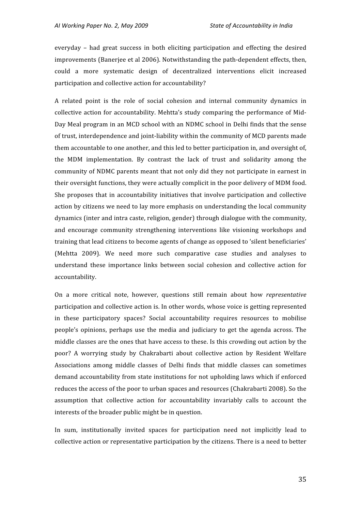everyday – had great success in both eliciting participation and effecting the desired improvements (Banerjee et al 2006). Notwithstanding the path-dependent effects, then, could
 a
 more
 systematic
 design
 of
 decentralized
 interventions
 elicit
 increased participation
and
collective
action
for
accountability?

A related point is the role of social cohesion and internal community dynamics in collective action for accountability. Mehtta's study comparing the performance of Mid-Day Meal program in an MCD school with an NDMC school in Delhi finds that the sense of
trust,
interdependence
and
joint‐liability
within
the
community
of
MCD
parents
made them
accountable
to
one
another,
and
this
led
to
better
participation
in,
and
oversight
of, the MDM implementation. By contrast the lack of trust and solidarity among the community
of
NDMC
parents
meant
that
not
only
did
they
not
participate
in
earnest
in their oversight functions, they were actually complicit in the poor delivery of MDM food. She proposes that in accountability initiatives that involve participation and collective action
by
citizens
we
need
to
lay
more
emphasis
on
understanding
the
local
community dynamics
(inter
and
intra
caste,
religion,
gender)
through
dialogue
with
the
community, and encourage community strengthening interventions like visioning workshops and training
that
lead
citizens
to
become
agents
of
change
as
opposed
to
'silent
beneficiaries' (Mehtta 2009). We need more such comparative case studies and analyses to understand these importance links between social cohesion and collective action for accountability.

On
 a
 more
 critical
 note,
 however,
 questions
 still
 remain
 about
 how *representative* participation
and
collective
action
is.
In
other
words,
whose
voice
is
getting
represented in
 these
 participatory
 spaces?
 Social
 accountability
 requires
 resources
 to
 mobilise people's
 opinions,
 perhaps
 use
 the
 media
 and
 judiciary
 to
 get
 the
 agenda
 across.
 The middle
classes
are
the
ones
that
have
access
to
these.
Is
this
crowding
out
action
by
the poor? A worrying study by Chakrabarti about collective action by Resident Welfare Associations among middle classes of Delhi finds that middle classes can sometimes demand
accountability
from
state
institutions
for
not
upholding
laws
which
if
enforced reduces the access of the poor to urban spaces and resources (Chakrabarti 2008). So the assumption that collective action for accountability invariably calls to account the interests of the broader public might be in question.

In sum, institutionally invited spaces for participation need not implicitly lead to collective
action
or
representative
participation
by
the
citizens.
There
is
a
need
to
better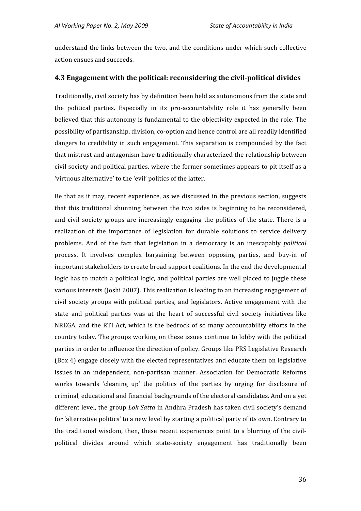understand
 the
links
between
 the
 two,
and
 the
conditions
under
which
such
collective action
ensues
and
succeeds.

#### **4.3
Engagement
with
the
political:
reconsidering
the
civilpolitical
divides**

Traditionally,
civil
society
has
by
definition
been
held
as
autonomous
from
the
state
and the political parties. Especially in its pro-accountability role it has generally been believed that this autonomy is fundamental to the objectivity expected in the role. The possibility
of
partisanship,
division,
co‐option
and
hence
control
are
all
readily
identified dangers to credibility in such engagement. This separation is compounded by the fact that
mistrust
and
antagonism
have
traditionally
characterized
the
relationship
between civil
society
and
political
parties,
where
the
former
sometimes
appears
to
pit
itself
as
a 'virtuous
alternative'
to
the
'evil'
politics
of
the
latter.

Be that as it may, recent experience, as we discussed in the previous section, suggests that this traditional shunning between the two sides is beginning to be reconsidered, and civil society groups are increasingly engaging the politics of the state. There is a realization of the importance of legislation for durable solutions to service delivery problems. And of the fact that legislation in a democracy is an inescapably *political* process. It involves complex bargaining between opposing parties, and buy-in of important stakeholders to create broad support coalitions. In the end the developmental logic has to match a political logic, and political parties are well placed to juggle these various interests (Joshi 2007). This realization is leading to an increasing engagement of civil
 society
 groups
 with
 political
 parties,
 and
 legislators.
 Active
 engagement
 with
 the state and political parties was at the heart of successful civil society initiatives like NREGA, and the RTI Act, which is the bedrock of so many accountability efforts in the country
today.
The
groups
working
on
these
issues
continue
to
lobby
with
the
political parties
in
order
to
influence
the
direction
of
policy.
Groups
like
PRS
Legislative
Research (Box
4)
engage
closely
with
the
elected
representatives
and
educate
them
on
legislative issues
 in
 an
 independent,
 non‐partisan
 manner.
 Association
 for
 Democratic
 Reforms works towards 'cleaning up' the politics of the parties by urging for disclosure of criminal,
educational
and
financial
backgrounds
of
the
electoral
candidates.
And
on
a
yet different level, the group *Lok Satta* in Andhra Pradesh has taken civil society's demand for 'alternative politics' to a new level by starting a political party of its own. Contrary to the traditional wisdom, then, these recent experiences point to a blurring of the civilpolitical divides around which state-society engagement has traditionally been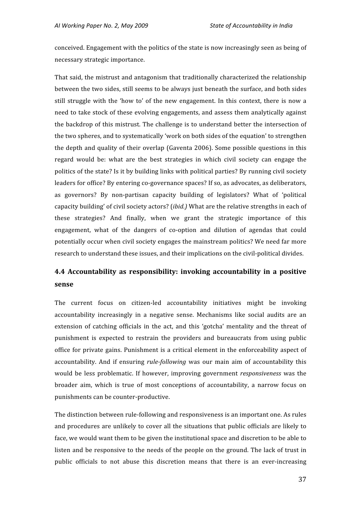conceived.
Engagement
with
the
politics
of
the
state
is
now
increasingly
seen
as
being
of necessary
strategic
importance.

That
said,
the
mistrust
and
antagonism
that
traditionally
characterized
the
relationship between
the
two
sides,
still
seems
to
be
always
just
beneath
the
surface,
and
both
sides still struggle with the 'how to' of the new engagement. In this context, there is now a need
to
take
stock
of
these
evolving
engagements,
and
assess
them
analytically
against the
backdrop
of
this
mistrust.
The
challenge
is
to
understand
better
the
intersection
of the two spheres, and to systematically 'work on both sides of the equation' to strengthen the depth and quality of their overlap (Gaventa 2006). Some possible questions in this regard would be: what are the best strategies in which civil society can engage the politics of the state? Is it by building links with political parties? By running civil society leaders for office? By entering co-governance spaces? If so, as advocates, as deliberators, as governors? By non-partisan capacity building of legislators? What of 'political capacity building' of civil society actors? *(ibid.)* What are the relative strengths in each of these
 strategies?
 And
 finally,
 when
 we
 grant
 the
 strategic
 importance
 of
 this engagement, what of the dangers of co-option and dilution of agendas that could potentially
occur
when
civil
society
engages
the
mainstream
politics?
We
need
far
more research
to
understand
these
issues,
and
their
implications
on
the
civil‐political
divides.

## **4.4
 Accountability
 as
 responsibility:
 invoking
 accountability
 in
 a
 positive sense**

The current focus on citizen-led accountability initiatives might be invoking accountability increasingly in a negative sense. Mechanisms like social audits are an extension of catching officials in the act, and this 'gotcha' mentality and the threat of punishment
 is
 expected
 to
 restrain
 the
 providers
 and
 bureaucrats
 from
 using
 public office
 for
private
gains.
Punishment
is
a
critical
element
in
 the
enforceability
aspect
of accountability. And if ensuring *rule-following* was our main aim of accountability this would be less problematic. If however, improving government *responsiveness* was the broader aim, which is true of most conceptions of accountability, a narrow focus on punishments
can
be
counter‐productive.

The distinction between rule-following and responsiveness is an important one. As rules and procedures are unlikely to cover all the situations that public officials are likely to face, we would want them to be given the institutional space and discretion to be able to listen and be responsive to the needs of the people on the ground. The lack of trust in public officials to not abuse this discretion means that there is an ever-increasing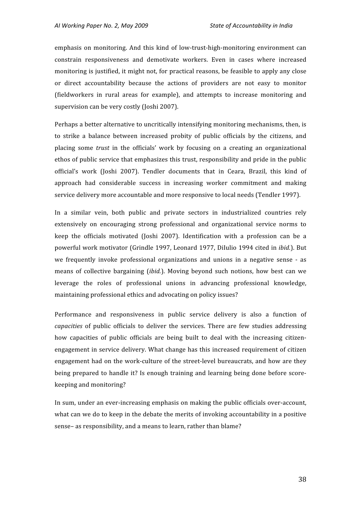emphasis on monitoring. And this kind of low-trust-high-monitoring environment can constrain
 responsiveness
 and
 demotivate
 workers.
 Even
 in
 cases
 where
 increased monitoring is justified, it might not, for practical reasons, be feasible to apply any close or direct accountability because the actions of providers are not easy to monitor (fieldworkers
 in
 rural
 areas
 for
 example),
 and
 attempts
 to
 increase
 monitoring
 and supervision
can
be
very
costly
(Joshi
2007).

Perhaps a better alternative to uncritically intensifying monitoring mechanisms, then, is to strike a balance between increased probity of public officials by the citizens, and placing some *trust* in the officials' work by focusing on a creating an organizational ethos of public service that emphasizes this trust, responsibility and pride in the public official's work (Joshi 2007). Tendler documents that in Ceara, Brazil, this kind of approach
 had
 considerable
 success
 in
 increasing
 worker
 commitment
 and
 making service
delivery
more
accountable
and
more
responsive
to
local
needs
(Tendler
1997).

In a similar vein, both public and private sectors in industrialized countries rely extensively on encouraging strong professional and organizational service norms to keep the officials motivated (Joshi 2007). Identification with a profession can be a powerful work motivator (Grindle 1997, Leonard 1977, DiIulio 1994 cited in *ibid.*). But we frequently invoke professional organizations and unions in a negative sense - as means of collective bargaining *(ibid.)*. Moving beyond such notions, how best can we leverage the roles of professional unions in advancing professional knowledge, maintaining
professional
ethics
and
advocating
on
policy
issues?

Performance and responsiveness in public service delivery is also a function of *capacities* of public officials to deliver the services. There are few studies addressing how capacities of public officials are being built to deal with the increasing citizenengagement
in
service
delivery.
What
change
has
 this
increased
requirement
of
citizen engagement had on the work-culture of the street-level bureaucrats, and how are they being prepared to handle it? Is enough training and learning being done before scorekeeping
and
monitoring?

In sum, under an ever-increasing emphasis on making the public officials over-account, what can we do to keep in the debate the merits of invoking accountability in a positive sense–
as
responsibility,
and
a
means
to
learn,
rather
than
blame?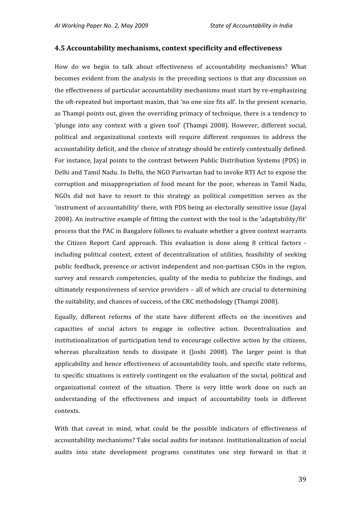#### **4.5
Accountability
mechanisms,
context
specificity
and
effectiveness**

How do we begin to talk about effectiveness of accountability mechanisms? What becomes evident from the analysis in the preceding sections is that any discussion on the
effectiveness
of
particular
accountability
mechanisms
must
start
by
re‐emphasizing the oft-repeated but important maxim, that 'no one size fits all'. In the present scenario, as Thampi points out, given the overriding primacy of technique, there is a tendency to 'plunge into any context with a given tool' (Thampi 2008). However, different social, political and organizational contexts will require different responses to address the accountability
deficit,
and
the
choice
of
strategy
should
be
entirely
contextually
defined. For instance, Jayal points to the contrast between Public Distribution Systems (PDS) in Delhi and Tamil Nadu. In Delhi, the NGO Parivartan had to invoke RTI Act to expose the corruption
 and
 misappropriation
 of
 food
 meant
 for
 the
 poor,
 whereas
 in
 Tamil
 Nadu, NGOs did not have to resort to this strategy as political competition serves as the 'instrument of accountability' there, with PDS being an electorally sensitive issue (Jayal 2008).
An
instructive
example
of
fitting
the
context
with
the
tool
is
the
'adaptability/fit' process
that
the
PAC
in
Bangalore
follows
to
evaluate
whether
a
given
context
warrants the Citizen Report Card approach. This evaluation is done along 8 critical factors including political context, extent of decentralization of utilities, feasibility of seeking public
 feedback,
presence
or
activist
independent
and
non‐partisan
CSOs
in
the
region, survey and research competencies, quality of the media to publicize the findings, and ultimately responsiveness of service providers - all of which are crucial to determining the
suitability,
and
chances
of
success,
of
the
CRC
methodology
(Thampi
2008).

Equally, different reforms of the state have different effects on the incentives and capacities
 of
 social
 actors
 to
 engage
 in
 collective
 action.
 Decentralization
 and institutionalization of participation tend to encourage collective action by the citizens, whereas pluralization tends to dissipate it (Joshi 2008). The larger point is that applicability and hence effectiveness of accountability tools, and specific state reforms, to specific situations is entirely contingent on the evaluation of the social, political and organizational context of the situation. There is very little work done on such an understanding of the effectiveness and impact of accountability tools in different contexts.

With that caveat in mind, what could be the possible indicators of effectiveness of accountability
mechanisms?
Take
social
audits
for
instance.
Institutionalization
of
social audits into state development programs constitutes one step forward in that it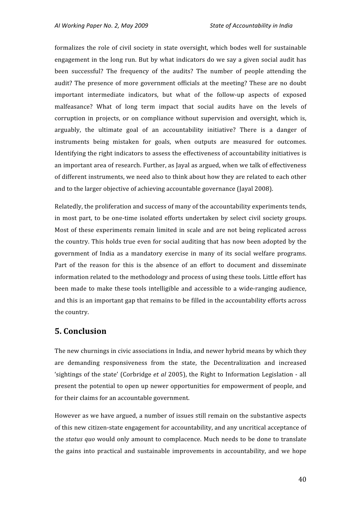formalizes the role of civil society in state oversight, which bodes well for sustainable engagement in the long run. But by what indicators do we say a given social audit has been successful? The frequency of the audits? The number of people attending the audit?
The
 presence
 of
more
government
 officials
at
 the
meeting?
These
are
 no
 doubt important
 intermediate
 indicators,
 but
 what
 of
 the
 follow‐up
 aspects
 of
 exposed malfeasance? What of long term impact that social audits have on the levels of corruption in projects, or on compliance without supervision and oversight, which is, arguably, the ultimate goal of an accountability initiative? There is a danger of instruments
 being
 mistaken
 for
 goals,
 when
 outputs
 are
 measured
 for
 outcomes. Identifying the right indicators to assess the effectiveness of accountability initiatives is an
important
area
of
research.
Further,
as
Jayal
as
argued,
when
we
talk
of
effectiveness of
different
instruments,
we
need
also
to
think
about
how
they
are
related
to
each
other and
to
the
larger
objective
of
achieving
accountable
governance
(Jayal
2008).

Relatedly, the proliferation and success of many of the accountability experiments tends, in most part, to be one-time isolated efforts undertaken by select civil society groups. Most of these experiments remain limited in scale and are not being replicated across the
country.
This
holds
 true
even
 for
social
auditing
 that
has
now
been
adopted
by
 the government
 of
 India
 as
 a
 mandatory
 exercise
 in
 many
 of
 its
 social
 welfare
 programs. Part of the reason for this is the absence of an effort to document and disseminate information
related
to
the
methodology
and
process
of
using
these
tools.
Little
effort
has been made to make these tools intelligible and accessible to a wide-ranging audience, and this is an important gap that remains to be filled in the accountability efforts across the
country.

## **5.
Conclusion**

The new churnings in civic associations in India, and newer hybrid means by which they are
 demanding
 responsiveness
 from
 the
 state,
 the
 Decentralization
 and
 increased 'sightings of the state' (Corbridge et al 2005), the Right to Information Legislation - all present
the
potential
to
open
up
newer
opportunities
for
empowerment
of
people,
and for their claims for an accountable government.

However
as
we
have
argued,
a
number
of
issues
still
remain
on
the
substantive
aspects of this new citizen-state engagement for accountability, and any uncritical acceptance of the *status quo* would only amount to complacence. Much needs to be done to translate the
 gains
 into
 practical
 and
 sustainable
 improvements
 in
 accountability,
 and
 we
 hope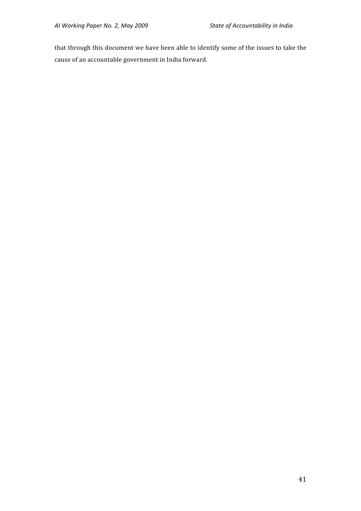that through this document we have been able to identify some of the issues to take the cause
of
an
accountable
government
in
India
forward.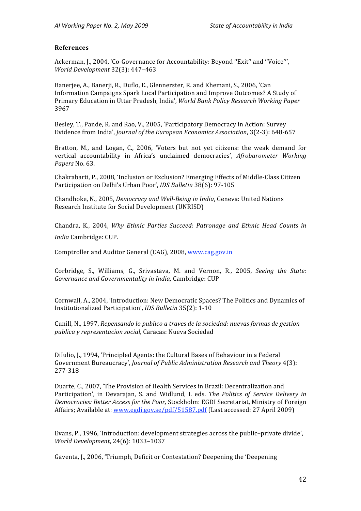#### **References**

Ackerman, J., 2004, 'Co-Governance for Accountability: Beyond "Exit" and "Voice"", *World
Development*32(3):
447–463

Baneriee, A., Banerii, R., Duflo, E., Glennerster, R. and Khemani, S., 2006. 'Can Information
Campaigns
Spark
Local
Participation
and
Improve
Outcomes?
A
Study
of Primary
Education
in
Uttar
Pradesh,
India', *World
Bank
Policy
Research
Working
Paper* 3967

Besley, T., Pande, R. and Rao, V., 2005, 'Participatory Democracy in Action: Survey Evidence
from
India', *Journal
of
the
European
Economics
Association*,
3(2‐3):
648‐657

Bratton, M., and Logan, C., 2006, 'Voters but not yet citizens: the weak demand for vertical
 accountability
 in
 Africa's
 unclaimed
 democracies', *Afrobarometer
 Working Papers* No.
63.

Chakrabarti,
P.,
2008,
'Inclusion
or
Exclusion?
Emerging Effects
of
Middle‐Class
Citizen Participation
on
Delhi's
Urban
Poor', *IDS
Bulletin* 38(6):
97‐105

Chandhoke, N., 2005, *Democracy and Well-Being in India*, Geneva: United Nations Research
Institute for
Social
Development
(UNRISD)

Chandra, K., 2004, Why Ethnic Parties Succeed: Patronage and Ethnic Head Counts in *India* Cambridge:
CUP.

Comptroller
and
Auditor
General
(CAG),
2008, www.cag.gov.in

Corbridge, S., Williams, G., Srivastava, M. and Vernon, R., 2005, Seeing the State: Governance and Governmentality in India, Cambridge: CUP

Cornwall,
A.,
2004,
'Introduction:
New
Democratic
Spaces?
The
Politics
and
Dynamics
of Institutionalized
Participation', *IDS
Bulletin*35(2):
1‐10

Cunill,
N.,
1997, *Repensando
lo
publico
a
traves
de
la sociedad:
nuevas
formas
de
gestion publica
y
representacion
social,*Caracas:
Nueva
Sociedad

DiIulio, J., 1994, 'Principled Agents: the Cultural Bases of Behaviour in a Federal Government Bureaucracy', *Journal of Public Administration Research and Theory* 4(3): 277‐318

Duarte,
C.,
2007,
'The
Provision
of
Health
Services
in
Brazil:
Decentralization
and Participation', in Devarajan, S. and Widlund, I. eds. *The Politics of Service Delivery in Democracies:
Better
Access
for
the
Poor,* Stockholm:
EGDI
Secretariat,
Ministry
of
Foreign Affairs;
Available
at:
www.egdi.gov.se/pdf/51587.pdf
(Last
accessed:
27
April
2009)

Evans,
P.,
1996,
'Introduction:
development
strategies across
the
public–private
divide', *World
Development*, 24(6):
1033–1037

Gaventa,
J.,
2006,
'Triumph,
Deficit
or
Contestation?
Deepening
the
'Deepening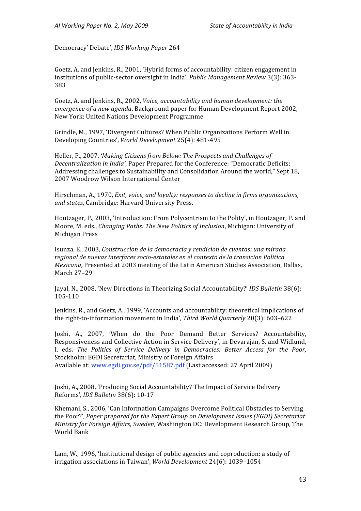Democracy'
Debate', *IDS
Working
Paper* 264

Goetz,
A.
and
Jenkins,
R.,
2001,
'Hybrid
forms
of accountability:
citizen
engagement
in institutions of public-sector oversight in India', *Public Management Review* 3(3): 363-383

Goetz,
A.
and
Jenkins,
R.,
2002, *Voice,
accountability
and
human
development:
the emergence of a new agenda,* Background paper for Human Development Report 2002, New
York:
United
Nations Development
Programme

Grindle, M., 1997, 'Divergent Cultures? When Public Organizations Perform Well in Developing
Countries', *World
Development*25(4):
481‐495

Heller, P., 2007, 'Making Citizens from Below: The Prospects and Challenges of Decentralization in *India'*. Paper Prepared for the Conference: "Democratic Deficits: Addressing
challenges
to
Sustainability
and
Consolidation
Around
the
world,"
Sept
18, 2007
Woodrow
Wilson
International
Center

Hirschman,
A.,
1970, *Exit,
voice,
and
loyalty:
responses to
decline
in
firms
organizations, and
states*,
Cambridge:
Harvard
University
Press.

Houtzager, P., 2003, 'Introduction: From Polycentrism to the Polity', in Houtzager, P. and Moore, M. eds., *Changing Paths: The New Politics of Inclusion*, Michigan: University of Michigan
Press

Isunza,
E.,
2003, *Construccion
de
la
democracia
y rendicion
de
cuentas:
una
mirada*  regional de nuevas interfaces socio-estatales en el contexto de la transicion Politica Mexicana, Presented at 2003 meeting of the Latin American Studies Association, Dallas, March
27–29

Jayal,
N.,
2008,
'New
Directions
in
Theorizing
Social
Accountability?'*IDS
Bulletin* 38(6): 105‐110

Jenkins, R., and Goetz, A., 1999, 'Accounts and accountability: theoretical implications of the right-to-information movement in India', *Third World Quarterly* 20(3): 603–622

Joshi,
 A.,
 2007,
 'When
 do
 the
 Poor
 Demand
 Better
 Services?
 Accountability, Responsiveness
and
Collective
Action
in
Service
Delivery',
in
Devarajan,
S.
and
Widlund, I.
 eds. *The
 Politics
 of
 Service
 Delivery
 in
 Democracies:
 Better
 Access
 for
 the
 Poor,*  Stockholm:
EGDI
Secretariat,
Ministry
of
Foreign
Affairs Available at: www.egdi.gov.se/pdf/51587.pdf (Last accessed: 27 April 2009)

Joshi, A., 2008, 'Producing Social Accountability? The Impact of Service Delivery Reforms'*,
IDS
Bulletin* 38(6):
10‐17

Khemani,
S.,
2006,
'Can
Information
Campaigns
Overcome
Political
Obstacles
to
Serving the
Poor?', *Paper
prepared
for
the
Expert
Group
on
Development
Issues
(EGDI)
Secretariat*  Ministry for Foreign *Affairs, Sweden*, Washington DC; Development Research Group, The World
Bank

Lam,
W.,
1996,
'Institutional
design
of
public agencies
and
coproduction:
a
study
of irrigation associations
in
Taiwan', *World
Development*24(6):
1039–1054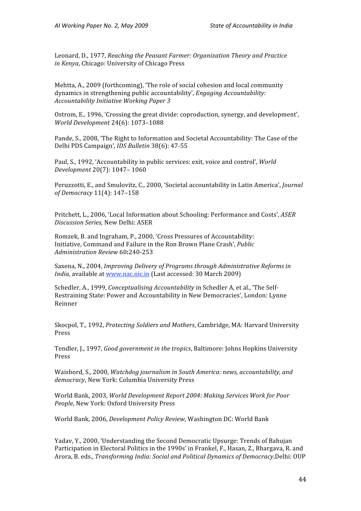Leonard,
D.,
1977, *Reaching
the
Peasant
Farmer:
Organization
Theory
and
Practice in
Kenya*,
Chicago:
University
of
Chicago
Press

Mehtta, A., 2009 (forthcoming), 'The role of social cohesion and local community dynamics
in
strengthening
public
accountability', *Engaging
Accountability: Accountability
Initiative
Working
Paper
3*

Ostrom,
E.,
1996,
'Crossing
the
great
divide:
coproduction,
synergy,
and
development', *World
Development* 24(6):
1073–1088

Pande, S., 2008, 'The Right to Information and Societal Accountability: The Case of the Delhi
PDS
Campaign'*,
IDS
Bulletin* 38(6):
47‐55

Paul,
S.,
1992,
'Accountability
in
public
services:
exit, voice
and
control', *World Development*20(7):
1047– 1060

Peruzzotti, E., and Smulovitz, C., 2000, 'Societal accountability in Latin America', *Journal of
Democracy*11(4):
147–158

Pritchett,
L.,
2006,
'Local
Information
about
Schooling:
Performance
and
Costs', *ASER Discussion
Series,* New
Delhi:
ASER

Romzek,
B.
and
Ingraham,
P.,
2000,
'Cross
Pressures
of
Accountability: Initiative,
Command
and
Failure
in
the
Ron
Brown
Plane
Crash', *Public Administration
Review*60**:**240‐253

Saxena,
N.,
2004, *Improving
Delivery
of
Programs
through
Administrative
Reforms
in*  India, available at www.nac.nic.in (Last accessed: 30 March 2009)

Schedler, A., 1999, *Conceptualising Accountability* in Schedler A, et al., 'The Self-Restraining
State:
Power
and
Accountability
in
New
Democracies',
London:
Lynne Reinner

Skocpol, T., 1992. *Protecting Soldiers and Mothers*, Cambridge, MA: Harvard University Press

Tendler, J., 1997, *Good government in the tropics*, Baltimore: Johns Hopkins University Press

Waisbord,
S.,
2000, *Watchdog
journalism
in
South America:
news,
accountability,
and democracy*,
New York:
Columbia
University
Press

World
Bank,
2003, *World
Development
Report
2004: Making
Services
Work
for
Poor*  People, New York: Oxford University Press

World
Bank,
2006, *Development
Policy
Review,* Washington
DC:
World
Bank

Yadav, Y., 2000, 'Understanding the Second Democratic Upsurge: Trends of Bahujan Participation in Electoral Politics in the 1990s' in Frankel, F., Hasan, Z., Bhargava, R. and Arora,
B.
eds., *Transforming
India:
Social
and
Political
Dynamics
of
Democracy*,Delhi:
OUP